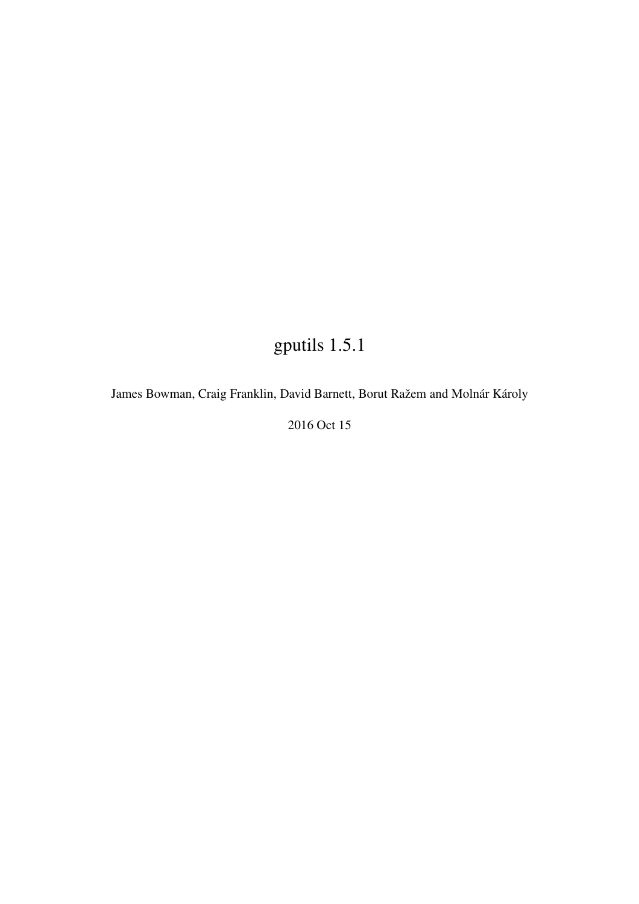# gputils 1.5.1

James Bowman, Craig Franklin, David Barnett, Borut Ražem and Molnár Károly

2016 Oct 15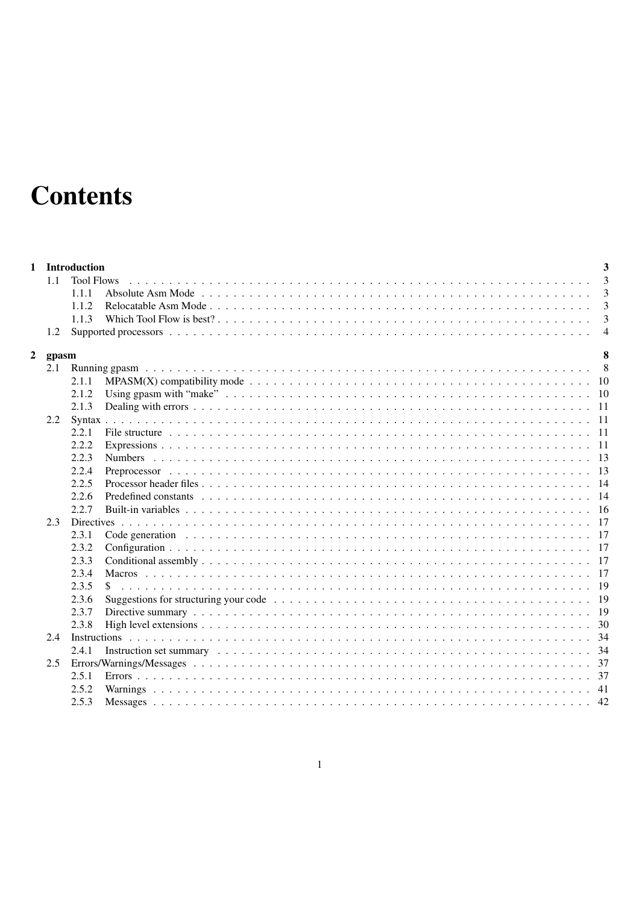# **Contents**

|   | 1.1   | 1 Introduction<br><b>Tool Flows</b><br>1.1.1 | 3<br>$\overline{3}$<br>3                                                                                                           |
|---|-------|----------------------------------------------|------------------------------------------------------------------------------------------------------------------------------------|
|   |       |                                              |                                                                                                                                    |
|   |       | 1.1.2                                        | 3                                                                                                                                  |
|   |       | 1.1.3                                        |                                                                                                                                    |
|   | 1.2   |                                              | $\overline{4}$                                                                                                                     |
| 2 | gpasm |                                              | 8                                                                                                                                  |
|   | 2.1   |                                              |                                                                                                                                    |
|   |       | 2.1.1                                        |                                                                                                                                    |
|   |       | 2.1.2                                        |                                                                                                                                    |
|   |       | 2.1.3                                        |                                                                                                                                    |
|   |       |                                              |                                                                                                                                    |
|   |       |                                              |                                                                                                                                    |
|   |       | 2.2.1                                        |                                                                                                                                    |
|   |       | 2.2.2                                        |                                                                                                                                    |
|   |       | 2.2.3                                        |                                                                                                                                    |
|   |       | 2.2.4                                        |                                                                                                                                    |
|   |       | 2.2.5                                        |                                                                                                                                    |
|   |       | 2.2.6                                        |                                                                                                                                    |
|   |       | 2.2.7                                        |                                                                                                                                    |
|   | 2.3   |                                              |                                                                                                                                    |
|   |       | 2.3.1                                        |                                                                                                                                    |
|   |       | 2.3.2                                        |                                                                                                                                    |
|   |       | 2.3.3                                        |                                                                                                                                    |
|   |       | 2.3.4                                        |                                                                                                                                    |
|   |       | 2.3.5                                        |                                                                                                                                    |
|   |       | 2.3.6                                        | Suggestions for structuring your code $\ldots \ldots \ldots \ldots \ldots \ldots \ldots \ldots \ldots \ldots \ldots \ldots \ldots$ |
|   |       | 2.3.7                                        |                                                                                                                                    |
|   |       | 2.3.8                                        |                                                                                                                                    |
|   | 2.4   |                                              |                                                                                                                                    |
|   |       | 2.4.1                                        |                                                                                                                                    |
|   | 2.5   |                                              |                                                                                                                                    |
|   |       | 2.5.1                                        |                                                                                                                                    |
|   |       | 2.5.2                                        |                                                                                                                                    |
|   |       | 2.5.3                                        |                                                                                                                                    |
|   |       |                                              |                                                                                                                                    |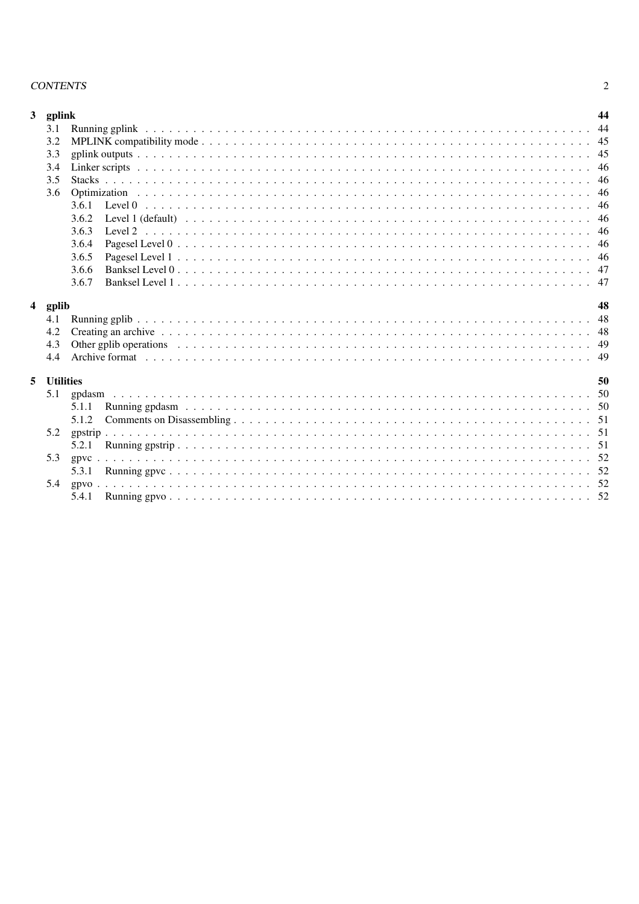### **CONTENTS**

| $\mathbf{3}$<br>4 | gplink<br>3.1<br>3.2<br>3.3<br>3.4<br>3.5<br>3.6<br>Optimization<br>3.6.1<br>Level 0<br>3.6.2<br>3.6.3<br>3.6.4<br>3.6.5<br>3.6.6<br>3.6.7<br>gplib<br>4.1<br>4.2 | 44<br>44<br>45<br>45<br>46<br>46<br>46<br>46<br>46<br>46<br>46<br>46<br>47<br>47<br>48<br>48<br>48 |
|-------------------|-------------------------------------------------------------------------------------------------------------------------------------------------------------------|----------------------------------------------------------------------------------------------------|
|                   | 4.3<br>4.4                                                                                                                                                        | 49<br>49                                                                                           |
| 5                 | <b>Utilities</b><br>5.1<br>5.1.1<br>5.1.2                                                                                                                         | 50<br>50<br>50<br>51                                                                               |
|                   | 5.2<br>gpstrip<br>5.2.1<br>5.3<br>gpvc<br>5.3.1<br>5.4                                                                                                            | 51<br>51<br>52<br>52<br>52                                                                         |
|                   | 5.4.1                                                                                                                                                             | 52                                                                                                 |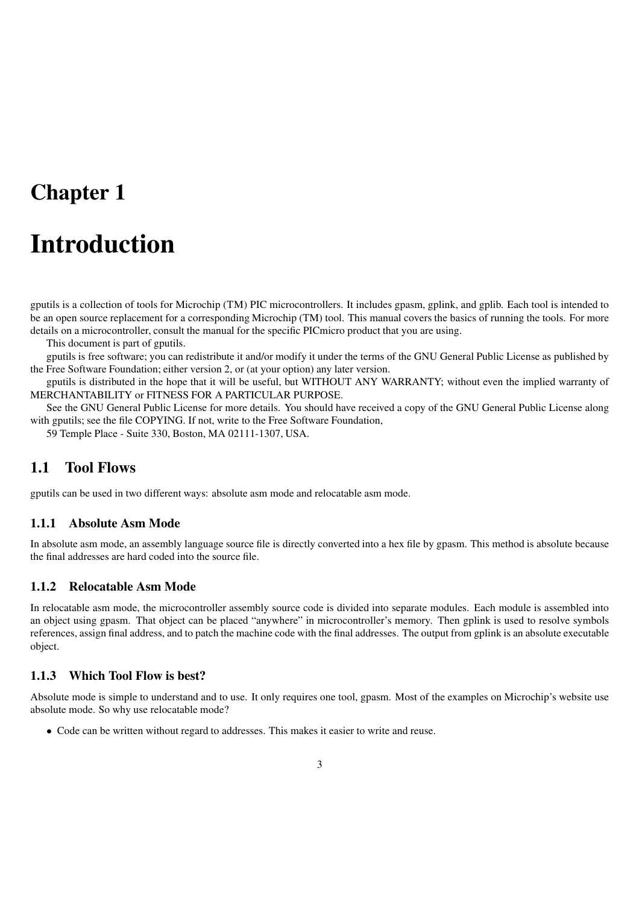# Chapter 1

# Introduction

gputils is a collection of tools for Microchip (TM) PIC microcontrollers. It includes gpasm, gplink, and gplib. Each tool is intended to be an open source replacement for a corresponding Microchip (TM) tool. This manual covers the basics of running the tools. For more details on a microcontroller, consult the manual for the specific PICmicro product that you are using.

This document is part of gputils.

gputils is free software; you can redistribute it and/or modify it under the terms of the GNU General Public License as published by the Free Software Foundation; either version 2, or (at your option) any later version.

gputils is distributed in the hope that it will be useful, but WITHOUT ANY WARRANTY; without even the implied warranty of MERCHANTABILITY or FITNESS FOR A PARTICULAR PURPOSE.

See the GNU General Public License for more details. You should have received a copy of the GNU General Public License along with gputils; see the file COPYING. If not, write to the Free Software Foundation,

59 Temple Place - Suite 330, Boston, MA 02111-1307, USA.

# 1.1 Tool Flows

gputils can be used in two different ways: absolute asm mode and relocatable asm mode.

#### 1.1.1 Absolute Asm Mode

In absolute asm mode, an assembly language source file is directly converted into a hex file by gpasm. This method is absolute because the final addresses are hard coded into the source file.

### 1.1.2 Relocatable Asm Mode

In relocatable asm mode, the microcontroller assembly source code is divided into separate modules. Each module is assembled into an object using gpasm. That object can be placed "anywhere" in microcontroller's memory. Then gplink is used to resolve symbols references, assign final address, and to patch the machine code with the final addresses. The output from gplink is an absolute executable object.

# 1.1.3 Which Tool Flow is best?

Absolute mode is simple to understand and to use. It only requires one tool, gpasm. Most of the examples on Microchip's website use absolute mode. So why use relocatable mode?

• Code can be written without regard to addresses. This makes it easier to write and reuse.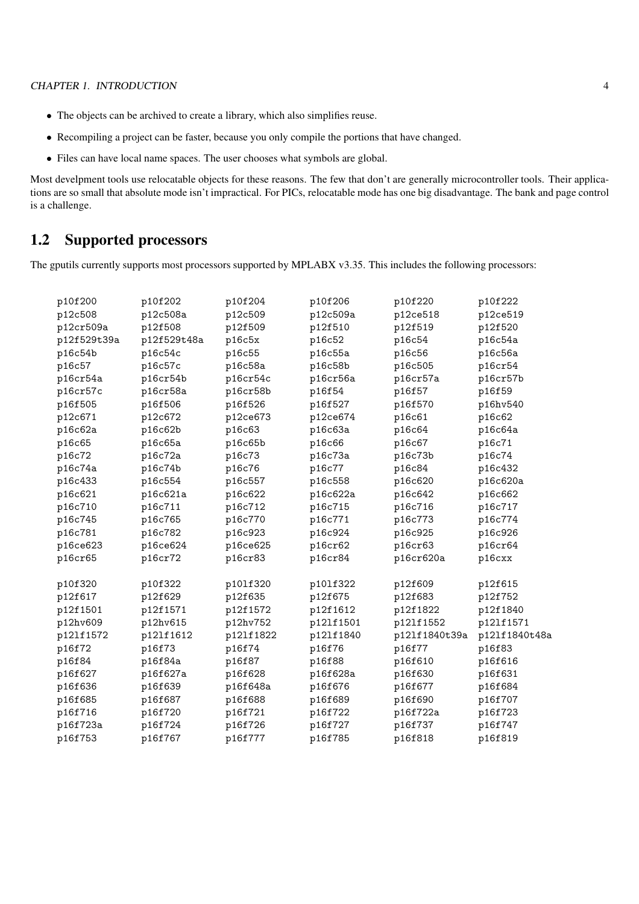- The objects can be archived to create a library, which also simplifies reuse.
- Recompiling a project can be faster, because you only compile the portions that have changed.
- Files can have local name spaces. The user chooses what symbols are global.

Most develpment tools use relocatable objects for these reasons. The few that don't are generally microcontroller tools. Their applications are so small that absolute mode isn't impractical. For PICs, relocatable mode has one big disadvantage. The bank and page control is a challenge.

# 1.2 Supported processors

The gputils currently supports most processors supported by MPLABX v3.35. This includes the following processors:

| p10f200     | p10f202     | p10f204   | p10f206   | p10f220       | p10f222       |
|-------------|-------------|-----------|-----------|---------------|---------------|
| p12c508     | p12c508a    | p12c509   | p12c509a  | p12ce518      | p12ce519      |
| p12cr509a   | p12f508     | p12f509   | p12f510   | p12f519       | p12f520       |
| p12f529t39a | p12f529t48a | p16c5x    | p16c52    | p16c54        | p16c54a       |
| p16c54b     | p16c54c     | p16c55    | p16c55a   | p16c56        | p16c56a       |
| p16c57      | p16c57c     | p16c58a   | p16c58b   | p16c505       | p16cr54       |
| p16cr54a    | p16cr54b    | p16cr54c  | p16cr56a  | p16cr57a      | p16cr57b      |
| p16cr57c    | p16cr58a    | p16cr58b  | p16f54    | p16f57        | p16f59        |
| p16f505     | p16f506     | p16f526   | p16f527   | p16f570       | p16hv540      |
| p12c671     | p12c672     | p12ce673  | p12ce674  | p16c61        | p16c62        |
| p16c62a     | p16c62b     | p16c63    | p16c63a   | p16c64        | p16c64a       |
| p16c65      | p16c65a     | p16c65b   | p16c66    | p16c67        | p16c71        |
| p16c72      | p16c72a     | p16c73    | p16c73a   | p16c73b       | p16c74        |
| p16c74a     | p16c74b     | p16c76    | p16c77    | p16c84        | p16c432       |
| p16c433     | p16c554     | p16c557   | p16c558   | p16c620       | p16c620a      |
| p16c621     | p16c621a    | p16c622   | p16c622a  | p16c642       | p16c662       |
| p16c710     | p16c711     | p16c712   | p16c715   | p16c716       | p16c717       |
| p16c745     | p16c765     | p16c770   | p16c771   | p16c773       | p16c774       |
| p16c781     | p16c782     | p16c923   | p16c924   | p16c925       | p16c926       |
| p16ce623    | p16ce624    | p16ce625  | p16cr62   | p16cr63       | p16cr64       |
| p16cr65     | p16cr72     | p16cr83   | p16cr84   | p16cr620a     | p16cxx        |
|             |             |           |           |               |               |
| p10f320     | p10f322     | p101f320  | p101f322  | p12f609       | p12f615       |
| p12f617     | p12f629     | p12f635   | p12f675   | p12f683       | p12f752       |
| p12f1501    | p12f1571    | p12f1572  | p12f1612  | p12f1822      | p12f1840      |
| p12hv609    | p12hv615    | p12hv752  | p121f1501 | p121f1552     | p121f1571     |
| p121f1572   | p121f1612   | p121f1822 | p121f1840 | p121f1840t39a | p121f1840t48a |
| p16f72      | p16f73      | p16f74    | p16f76    | p16f77        | p16f83        |
| p16f84      | p16f84a     | p16f87    | p16f88    | p16f610       | p16f616       |
| p16f627     | p16f627a    | p16f628   | p16f628a  | p16f630       | p16f631       |
| p16f636     | p16f639     | p16f648a  | p16f676   | p16f677       | p16f684       |
| p16f685     | p16f687     | p16f688   | p16f689   | p16f690       | p16f707       |
| p16f716     | p16f720     | p16f721   | p16f722   | p16f722a      | p16f723       |
| p16f723a    | p16f724     | p16f726   | p16f727   | p16f737       | p16f747       |
| p16f753     | p16f767     | p16f777   | p16f785   | p16f818       | p16f819       |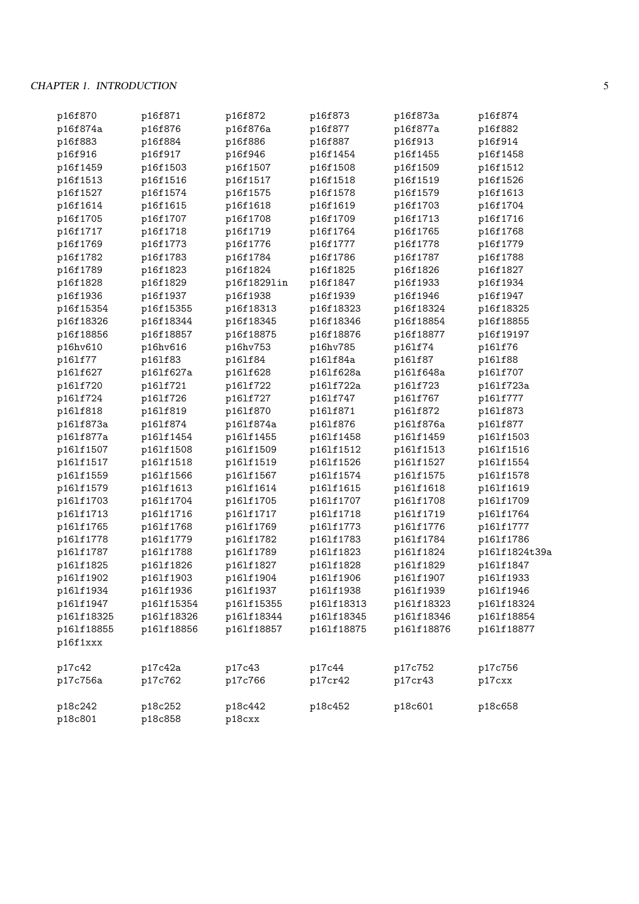# CHAPTER 1. INTRODUCTION 5

| p16f870            | p16f871            | p16f872           | p16f873    | p16f873a   | p16f874       |
|--------------------|--------------------|-------------------|------------|------------|---------------|
| p16f874a           | p16f876            | p16f876a          | p16f877    | p16f877a   | p16f882       |
| p16f883            | p16f884            | p16f886           | p16f887    | p16f913    | p16f914       |
| p16f916            | p16f917            | p16f946           | p16f1454   | p16f1455   | p16f1458      |
| p16f1459           | p16f1503           | p16f1507          | p16f1508   | p16f1509   | p16f1512      |
| p16f1513           | p16f1516           | p16f1517          | p16f1518   | p16f1519   | p16f1526      |
| p16f1527           | p16f1574           | p16f1575          | p16f1578   | p16f1579   | p16f1613      |
| p16f1614           | p16f1615           | p16f1618          | p16f1619   | p16f1703   | p16f1704      |
| p16f1705           | p16f1707           | p16f1708          | p16f1709   | p16f1713   | p16f1716      |
| p16f1717           | p16f1718           | p16f1719          | p16f1764   | p16f1765   | p16f1768      |
| p16f1769           | p16f1773           | p16f1776          | p16f1777   | p16f1778   | p16f1779      |
| p16f1782           | p16f1783           | p16f1784          | p16f1786   | p16f1787   | p16f1788      |
| p16f1789           | p16f1823           | p16f1824          | p16f1825   | p16f1826   | p16f1827      |
| p16f1828           | p16f1829           | p16f1829lin       | p16f1847   | p16f1933   | p16f1934      |
| p16f1936           | p16f1937           | p16f1938          | p16f1939   | p16f1946   | p16f1947      |
| p16f15354          | p16f15355          | p16f18313         | p16f18323  | p16f18324  | p16f18325     |
| p16f18326          | p16f18344          | p16f18345         | p16f18346  | p16f18854  | p16f18855     |
| p16f18856          | p16f18857          | p16f18875         | p16f18876  | p16f18877  | p16f19197     |
| p16hv610           | p16hv616           | p16hv753          | p16hv785   | p161f74    | p161f76       |
| p161f77            | p161f83            | p161f84           | p161f84a   | p161f87    | p161f88       |
| p161f627           | p161f627a          | p161f628          | p161f628a  | p161f648a  | p161f707      |
| p161f720           | p161f721           | p161f722          | p161f722a  | p161f723   | p161f723a     |
| p161f724           | p161f726           | p161f727          | p161f747   | p161f767   | p161f777      |
| p161f818           | p161f819           | p161f870          | p161f871   | p161f872   | p161f873      |
| p161f873a          | p161f874           | p161f874a         | p161f876   | p161f876a  | p161f877      |
| p161f877a          | p161f1454          | p161f1455         | p161f1458  | p161f1459  | p161f1503     |
| p161f1507          | p161f1508          | p161f1509         | p161f1512  | p161f1513  | p161f1516     |
| p161f1517          | p161f1518          | p161f1519         | p161f1526  | p161f1527  | p161f1554     |
| p161f1559          | p161f1566          | p161f1567         | p161f1574  | p161f1575  | p161f1578     |
| p161f1579          | p161f1613          | p161f1614         | p161f1615  | p161f1618  | p161f1619     |
| p161f1703          | p161f1704          | p161f1705         | p161f1707  | p161f1708  | p161f1709     |
| p161f1713          | p161f1716          | p161f1717         | p161f1718  | p161f1719  | p161f1764     |
| p161f1765          | p161f1768          | p161f1769         | p161f1773  | p161f1776  | p161f1777     |
| p161f1778          | p161f1779          | p161f1782         | p161f1783  | p161f1784  | p161f1786     |
| p161f1787          | p161f1788          | p161f1789         | p161f1823  | p161f1824  | p161f1824t39a |
| p161f1825          | p161f1826          | p161f1827         | p161f1828  | p161f1829  | p161f1847     |
| p161f1902          | p161f1903          | p161f1904         | p161f1906  | p161f1907  | p161f1933     |
| p161f1934          | p161f1936          | p161f1937         | p161f1938  | p161f1939  | p161f1946     |
| p161f1947          | p161f15354         | p161f15355        | p161f18313 | p161f18323 | p161f18324    |
| p161f18325         | p161f18326         | p161f18344        | p161f18345 | p161f18346 | p161f18854    |
| p161f18855         | p161f18856         | p161f18857        | p161f18875 | p161f18876 | p161f18877    |
| p16f1xxx           |                    |                   |            |            |               |
| p17c42             | p17c42a            | p17c43            | p17c44     | p17c752    | p17c756       |
| p17c756a           | p17c762            | p17c766           | p17cr42    | p17cr43    | p17cxx        |
| p18c242<br>p18c801 | p18c252<br>p18c858 | p18c442<br>p18cxx | p18c452    | p18c601    | p18c658       |
|                    |                    |                   |            |            |               |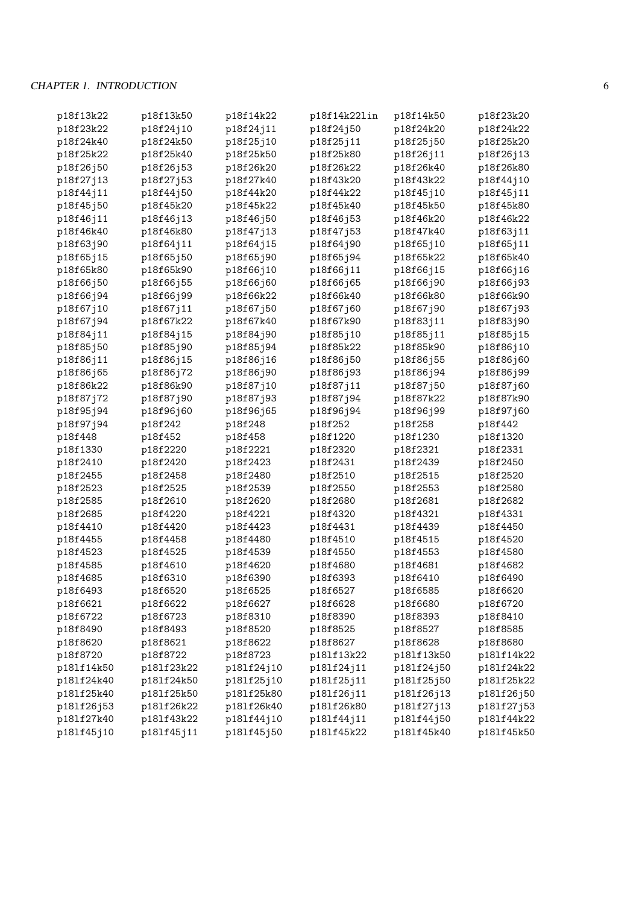# CHAPTER 1. INTRODUCTION 6

| p18f13k22  | p18f13k50  | p18f14k22  | p18f14k22lin | p18f14k50  | p18f23k20  |
|------------|------------|------------|--------------|------------|------------|
| p18f23k22  | p18f24j10  | p18f24j11  | p18f24j50    | p18f24k20  | p18f24k22  |
| p18f24k40  | p18f24k50  | p18f25j10  | p18f25j11    | p18f25j50  | p18f25k20  |
| p18f25k22  | p18f25k40  | p18f25k50  | p18f25k80    | p18f26j11  | p18f26j13  |
| p18f26j50  | p18f26j53  | p18f26k20  | p18f26k22    | p18f26k40  | p18f26k80  |
| p18f27j13  | p18f27j53  | p18f27k40  | p18f43k20    | p18f43k22  | p18f44j10  |
| p18f44j11  | p18f44j50  | p18f44k20  | p18f44k22    | p18f45j10  | p18f45j11  |
| p18f45j50  | p18f45k20  | p18f45k22  | p18f45k40    | p18f45k50  | p18f45k80  |
| p18f46j11  | p18f46j13  | p18f46j50  | p18f46j53    | p18f46k20  | p18f46k22  |
| p18f46k40  | p18f46k80  | p18f47j13  | p18f47j53    | p18f47k40  | p18f63j11  |
| p18f63j90  | p18f64j11  | p18f64j15  | p18f64j90    | p18f65j10  | p18f65j11  |
| p18f65j15  | p18f65j50  | p18f65j90  | p18f65j94    | p18f65k22  | p18f65k40  |
| p18f65k80  | p18f65k90  | p18f66j10  | p18f66j11    | p18f66j15  | p18f66j16  |
| p18f66j50  | p18f66j55  | p18f66j60  | p18f66j65    | p18f66j90  | p18f66j93  |
| p18f66j94  | p18f66j99  | p18f66k22  | p18f66k40    | p18f66k80  | p18f66k90  |
| p18f67j10  | p18f67j11  | p18f67j50  | p18f67j60    | p18f67j90  | p18f67j93  |
| p18f67j94  | p18f67k22  | p18f67k40  | p18f67k90    | p18f83j11  | p18f83j90  |
| p18f84j11  | p18f84j15  | p18f84j90  | p18f85j10    | p18f85j11  | p18f85j15  |
| p18f85j50  | p18f85j90  | p18f85j94  | p18f85k22    | p18f85k90  | p18f86j10  |
| p18f86j11  | p18f86j15  | p18f86j16  | p18f86j50    | p18f86j55  | p18f86j60  |
| p18f86j65  | p18f86j72  | p18f86j90  | p18f86j93    | p18f86j94  | p18f86j99  |
| p18f86k22  | p18f86k90  | p18f87j10  | p18f87j11    | p18f87j50  | p18f87j60  |
| p18f87j72  | p18f87j90  | p18f87j93  | p18f87j94    | p18f87k22  | p18f87k90  |
| p18f95j94  | p18f96j60  | p18f96j65  | p18f96j94    | p18f96j99  | p18f97j60  |
| p18f97j94  | p18f242    | p18f248    | p18f252      | p18f258    | p18f442    |
| p18f448    | p18f452    | p18f458    | p18f1220     | p18f1230   | p18f1320   |
| p18f1330   | p18f2220   | p18f2221   | p18f2320     | p18f2321   | p18f2331   |
| p18f2410   | p18f2420   | p18f2423   | p18f2431     | p18f2439   | p18f2450   |
| p18f2455   | p18f2458   | p18f2480   | p18f2510     | p18f2515   | p18f2520   |
| p18f2523   | p18f2525   | p18f2539   | p18f2550     | p18f2553   | p18f2580   |
| p18f2585   | p18f2610   | p18f2620   | p18f2680     | p18f2681   | p18f2682   |
| p18f2685   | p18f4220   | p18f4221   | p18f4320     | p18f4321   | p18f4331   |
| p18f4410   | p18f4420   | p18f4423   | p18f4431     | p18f4439   | p18f4450   |
| p18f4455   | p18f4458   | p18f4480   | p18f4510     | p18f4515   | p18f4520   |
| p18f4523   | p18f4525   | p18f4539   | p18f4550     | p18f4553   | p18f4580   |
| p18f4585   | p18f4610   | p18f4620   | p18f4680     | p18f4681   | p18f4682   |
| p18f4685   | p18f6310   | p18f6390   | p18f6393     | p18f6410   | p18f6490   |
| p18f6493   | p18f6520   | p18f6525   | p18f6527     | p18f6585   | p18f6620   |
| p18f6621   | p18f6622   | p18f6627   | p18f6628     | p18f6680   | p18f6720   |
| p18f6722   | p18f6723   | p18f8310   | p18f8390     | p18f8393   | p18f8410   |
| p18f8490   | p18f8493   | p18f8520   | p18f8525     | p18f8527   | p18f8585   |
| p18f8620   | p18f8621   | p18f8622   | p18f8627     | p18f8628   | p18f8680   |
| p18f8720   | p18f8722   | p18f8723   | p181f13k22   | p181f13k50 | p181f14k22 |
| p181f14k50 | p181f23k22 | p181f24j10 | p181f24j11   | p181f24j50 | p181f24k22 |
| p181f24k40 | p181f24k50 | p181f25j10 | p181f25j11   | p181f25j50 | p181f25k22 |
| p181f25k40 | p181f25k50 | p181f25k80 | p181f26j11   | p181f26j13 | p181f26j50 |
| p181f26j53 | p181f26k22 | p181f26k40 | p181f26k80   | p181f27j13 | p181f27j53 |
| p181f27k40 | p181f43k22 | p181f44j10 | p181f44j11   | p181f44j50 | p181f44k22 |
| p181f45j10 | p181f45j11 | p181f45j50 | p181f45k22   | p181f45k40 | p181f45k50 |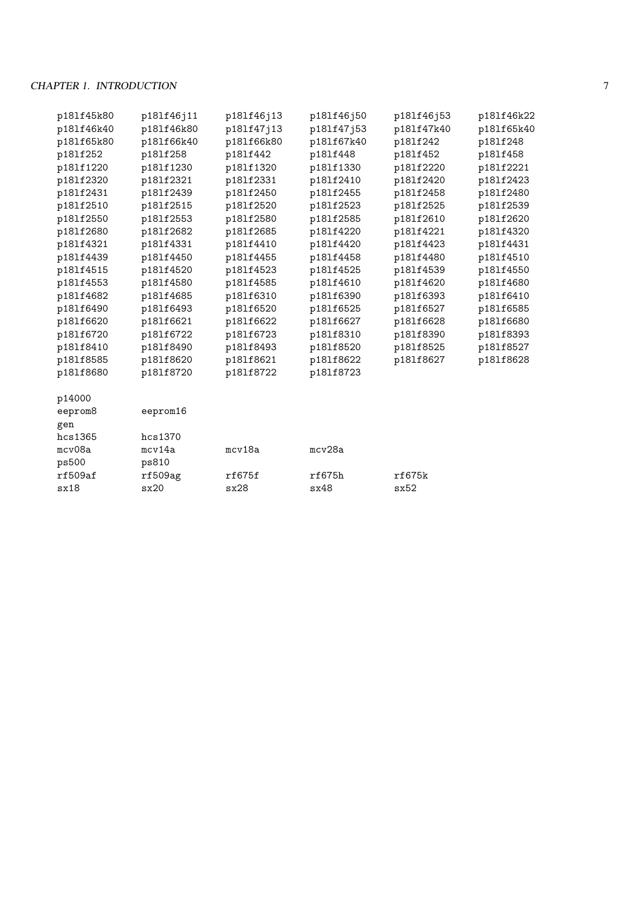# CHAPTER 1. INTRODUCTION 7

| p181f45k80 | p181f46j11 | p181f46j13 | p181f46j50 | p181f46j53 | p181f46k22 |
|------------|------------|------------|------------|------------|------------|
| p181f46k40 | p181f46k80 | p181f47j13 | p181f47j53 | p181f47k40 | p181f65k40 |
| p181f65k80 | p181f66k40 | p181f66k80 | p181f67k40 | p181f242   | p181f248   |
| p181f252   | p181f258   | p181f442   | p181f448   | p181f452   | p181f458   |
| p181f1220  | p181f1230  | p181f1320  | p181f1330  | p181f2220  | p181f2221  |
| p181f2320  | p181f2321  | p181f2331  | p181f2410  | p181f2420  | p181f2423  |
| p181f2431  | p181f2439  | p181f2450  | p181f2455  | p181f2458  | p181f2480  |
| p181f2510  | p181f2515  | p181f2520  | p181f2523  | p181f2525  | p181f2539  |
| p181f2550  | p181f2553  | p181f2580  | p181f2585  | p181f2610  | p181f2620  |
| p181f2680  | p181f2682  | p181f2685  | p181f4220  | p181f4221  | p181f4320  |
| p181f4321  | p181f4331  | p181f4410  | p181f4420  | p181f4423  | p181f4431  |
| p181f4439  | p181f4450  | p181f4455  | p181f4458  | p181f4480  | p181f4510  |
| p181f4515  | p181f4520  | p181f4523  | p181f4525  | p181f4539  | p181f4550  |
| p181f4553  | p181f4580  | p181f4585  | p181f4610  | p181f4620  | p181f4680  |
| p181f4682  | p181f4685  | p181f6310  | p181f6390  | p181f6393  | p181f6410  |
| p181f6490  | p181f6493  | p181f6520  | p181f6525  | p181f6527  | p181f6585  |
| p181f6620  | p181f6621  | p181f6622  | p181f6627  | p181f6628  | p181f6680  |
| p181f6720  | p181f6722  | p181f6723  | p181f8310  | p181f8390  | p181f8393  |
| p181f8410  | p181f8490  | p181f8493  | p181f8520  | p181f8525  | p181f8527  |
| p181f8585  | p181f8620  | p181f8621  | p181f8622  | p181f8627  | p181f8628  |
| p181f8680  | p181f8720  | p181f8722  | p181f8723  |            |            |
| p14000     |            |            |            |            |            |
| eeprom8    | eeprom16   |            |            |            |            |

| gen     |         |        |        |        |
|---------|---------|--------|--------|--------|
| hcs1365 | hcs1370 |        |        |        |
| mcv08a  | mcv14a  | mcv18a | mcv28a |        |
| ps500   | ps810   |        |        |        |
| rf509af | rf509ag | rf675f | rf675h | rf675k |
| sx18    | sx20    | sx28   | sx48   | sx52   |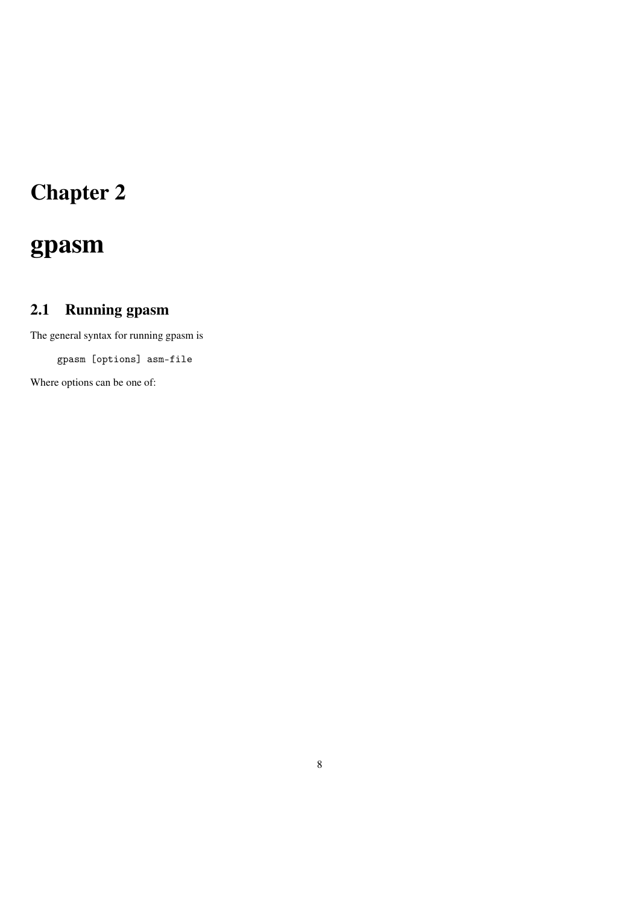# Chapter 2

# gpasm

# 2.1 Running gpasm

The general syntax for running gpasm is

gpasm [options] asm-file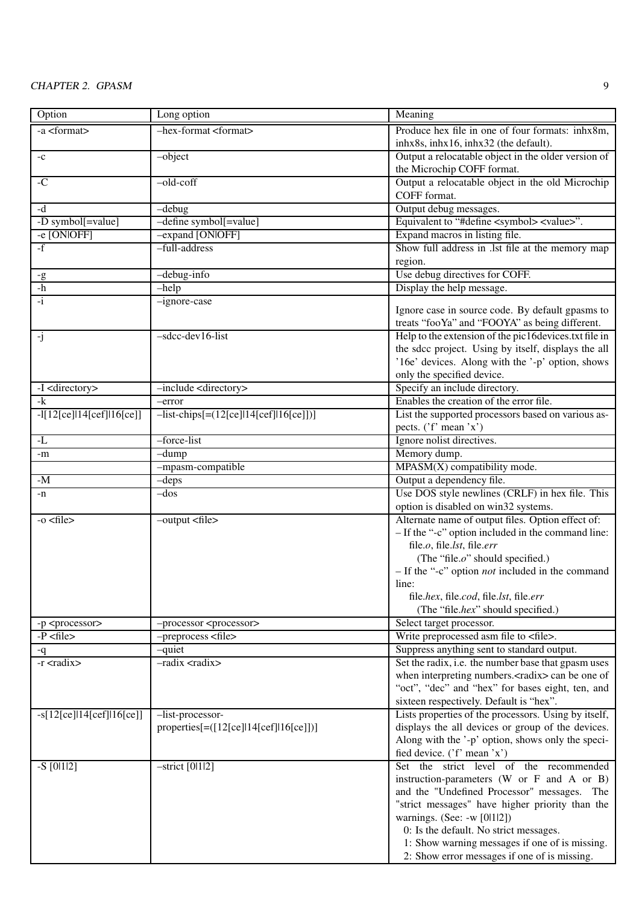| Option                      | Long option                                                 | Meaning                                                                                         |
|-----------------------------|-------------------------------------------------------------|-------------------------------------------------------------------------------------------------|
| -a <format></format>        | $-$ hex-format <format></format>                            | Produce hex file in one of four formats: inhx8m,                                                |
|                             |                                                             | inhx8s, inhx16, inhx32 (the default).                                                           |
| $-c$                        | $-object$                                                   | Output a relocatable object in the older version of                                             |
|                             |                                                             | the Microchip COFF format.                                                                      |
| $-C$                        | $-$ old-coff                                                | Output a relocatable object in the old Microchip                                                |
|                             |                                                             | COFF format.                                                                                    |
| $-d$                        | $-debug$                                                    | Output debug messages.                                                                          |
| -D symbol[=value]           | -define symbol[=value]                                      | Equivalent to "#define <symbol> <value>".</value></symbol>                                      |
| -e [ON OFF]                 | -expand [ON OFF]                                            | Expand macros in listing file.                                                                  |
| $-f$                        | -full-address                                               | Show full address in .lst file at the memory map                                                |
|                             |                                                             | region.                                                                                         |
| $-\underline{g}$            | -debug-info                                                 | Use debug directives for COFF.                                                                  |
| $-h$                        | $-help$                                                     | Display the help message.                                                                       |
| $-i$                        | -ignore-case                                                |                                                                                                 |
|                             |                                                             | Ignore case in source code. By default gpasms to                                                |
|                             |                                                             | treats "fooYa" and "FOOYA" as being different.                                                  |
| $-i$                        | -sdcc-dev16-list                                            | Help to the extension of the pic16devices.txt file in                                           |
|                             |                                                             | the sdcc project. Using by itself, displays the all                                             |
|                             |                                                             | '16e' devices. Along with the '-p' option, shows                                                |
|                             |                                                             | only the specified device.                                                                      |
| -I <directory></directory>  | -include <directory></directory>                            | Specify an include directory.                                                                   |
| $-k$                        | -error                                                      | Enables the creation of the error file.                                                         |
| $-1[12[ce] 14[cef] 16[ce]]$ | $-list-chips[=(12[ce]]14[ce][16[ce]])]$                     | List the supported processors based on various as-                                              |
|                             |                                                             | pects. ('f' mean 'x')                                                                           |
| -L                          | -force-list                                                 | Ignore nolist directives.                                                                       |
| -m                          | $-dump$                                                     | Memory dump.                                                                                    |
|                             | -mpasm-compatible                                           | $MPASM(X)$ compatibility mode.                                                                  |
| $-M$                        | $-deps$                                                     | Output a dependency file.                                                                       |
| -n                          | $-dos$                                                      | Use DOS style newlines (CRLF) in hex file. This                                                 |
|                             |                                                             | option is disabled on win32 systems.                                                            |
| $-0 <$ file>                | -output <file></file>                                       | Alternate name of output files. Option effect of:                                               |
|                             |                                                             | - If the "-c" option included in the command line:                                              |
|                             |                                                             | file.o, file.lst, file.err                                                                      |
|                             |                                                             | (The "file.o" should specified.)                                                                |
|                             |                                                             | $-$ If the "-c" option <i>not</i> included in the command                                       |
|                             |                                                             | line:                                                                                           |
|                             |                                                             | file.hex, file.cod, file.lst, file.err                                                          |
|                             |                                                             | (The "file.hex" should specified.)                                                              |
| -p <processor></processor>  | -processor <processor></processor>                          | Select target processor.                                                                        |
| $-P$ <file></file>          | -preprocess <file></file>                                   | Write preprocessed asm file to <file>.</file>                                                   |
| -q                          | -quiet                                                      | Suppress anything sent to standard output.                                                      |
| $-r <$ radix>               | -radix <radix></radix>                                      | Set the radix, i.e. the number base that gpasm uses                                             |
|                             |                                                             | when interpreting numbers. <radix>can be one of</radix>                                         |
|                             |                                                             | "oct", "dec" and "hex" for bases eight, ten, and                                                |
|                             |                                                             | sixteen respectively. Default is "hex".<br>Lists properties of the processors. Using by itself, |
| $-s[12[ce]14[cef]16[ce]]$   | -list-processor-<br>$properties[=([12[ce]]14[ce]]16[ce]])]$ | displays the all devices or group of the devices.                                               |
|                             |                                                             | Along with the '-p' option, shows only the speci-                                               |
|                             |                                                             | fied device. ('f' mean 'x')                                                                     |
| $-S$ [0112]                 | $-strict [0 1 2]$                                           | Set the strict level of the recommended                                                         |
|                             |                                                             | instruction-parameters (W or F and A or B)                                                      |
|                             |                                                             | and the "Undefined Processor" messages. The                                                     |
|                             |                                                             | "strict messages" have higher priority than the                                                 |
|                             |                                                             | warnings. (See: -w [0 1 2])                                                                     |
|                             |                                                             | 0: Is the default. No strict messages.                                                          |
|                             |                                                             | 1: Show warning messages if one of is missing.                                                  |
|                             |                                                             | 2: Show error messages if one of is missing.                                                    |
|                             |                                                             |                                                                                                 |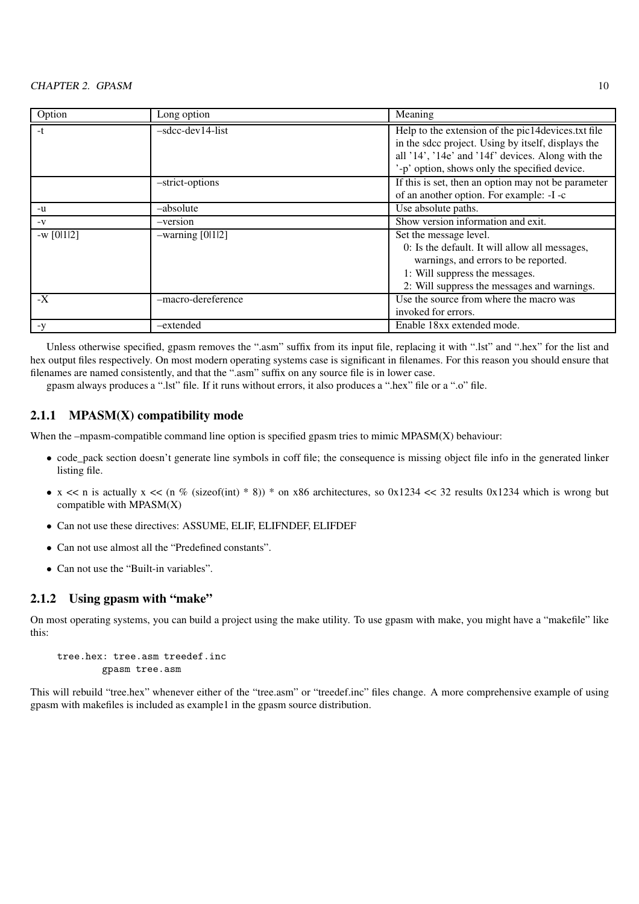| Option      | Long option        | Meaning                                                                                                                                                                                                       |
|-------------|--------------------|---------------------------------------------------------------------------------------------------------------------------------------------------------------------------------------------------------------|
| $-t$        | $-sdec-dev14-list$ | Help to the extension of the pic14devices.txt file<br>in the sdcc project. Using by itself, displays the<br>all '14', '14e' and '14f' devices. Along with the<br>-p' option, shows only the specified device. |
|             | -strict-options    | If this is set, then an option may not be parameter<br>of an another option. For example: -I -c                                                                                                               |
| -u          | -absolute          | Use absolute paths.                                                                                                                                                                                           |
| $-V$        | -version           | Show version information and exit.                                                                                                                                                                            |
| $-w$ [0112] | $-warning [0 1 2]$ | Set the message level.<br>0: Is the default. It will allow all messages,<br>warnings, and errors to be reported.<br>1: Will suppress the messages.<br>2: Will suppress the messages and warnings.             |
| $-X$        | -macro-dereference | Use the source from where the macro was<br>invoked for errors.                                                                                                                                                |
| $-y$        | -extended          | Enable 18xx extended mode.                                                                                                                                                                                    |

Unless otherwise specified, gpasm removes the ".asm" suffix from its input file, replacing it with ".lst" and ".hex" for the list and hex output files respectively. On most modern operating systems case is significant in filenames. For this reason you should ensure that filenames are named consistently, and that the ".asm" suffix on any source file is in lower case.

gpasm always produces a ".lst" file. If it runs without errors, it also produces a ".hex" file or a ".o" file.

## 2.1.1 MPASM(X) compatibility mode

When the  $-mpasm$ -compatible command line option is specified gpasm tries to mimic  $MPASM(X)$  behaviour:

- code\_pack section doesn't generate line symbols in coff file; the consequence is missing object file info in the generated linker listing file.
- $x \ll n$  is actually  $x \ll (n \% (sizeof(int) * 8)) * on x86 architectures, so 0x1234 < \ 32$  results 0x1234 which is wrong but compatible with  $MPASM(X)$
- Can not use these directives: ASSUME, ELIF, ELIFNDEF, ELIFDEF
- Can not use almost all the "Predefined constants".
- Can not use the "Built-in variables".

# 2.1.2 Using gpasm with "make"

On most operating systems, you can build a project using the make utility. To use gpasm with make, you might have a "makefile" like this:

```
tree.hex: tree.asm treedef.inc
        gpasm tree.asm
```
This will rebuild "tree.hex" whenever either of the "tree.asm" or "treedef.inc" files change. A more comprehensive example of using gpasm with makefiles is included as example1 in the gpasm source distribution.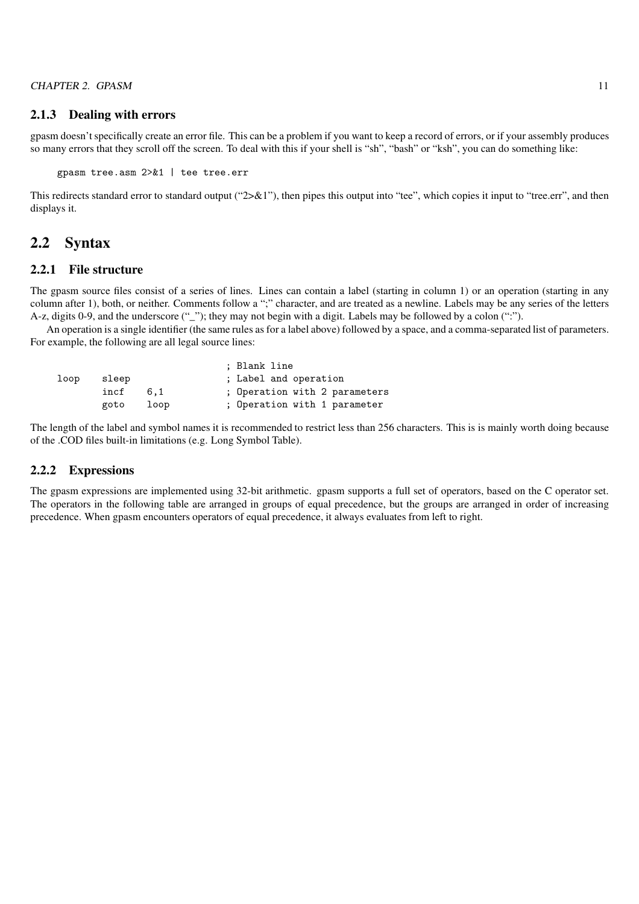## 2.1.3 Dealing with errors

gpasm doesn't specifically create an error file. This can be a problem if you want to keep a record of errors, or if your assembly produces so many errors that they scroll off the screen. To deal with this if your shell is "sh", "bash" or "ksh", you can do something like:

gpasm tree.asm 2>&1 | tee tree.err

This redirects standard error to standard output (" $2\times$ &1"), then pipes this output into "tee", which copies it input to "tree.err", and then displays it.

# 2.2 Syntax

#### 2.2.1 File structure

The gpasm source files consist of a series of lines. Lines can contain a label (starting in column 1) or an operation (starting in any column after 1), both, or neither. Comments follow a ";" character, and are treated as a newline. Labels may be any series of the letters A-z, digits 0-9, and the underscore (" $"$ ); they may not begin with a digit. Labels may be followed by a colon (":").

An operation is a single identifier (the same rules as for a label above) followed by a space, and a comma-separated list of parameters. For example, the following are all legal source lines:

|      |       |      | ; Blank line                  |
|------|-------|------|-------------------------------|
| loop | sleep |      | ; Label and operation         |
|      | incf  | 6.1  | ; Operation with 2 parameters |
|      | goto  | loop | ; Operation with 1 parameter  |

The length of the label and symbol names it is recommended to restrict less than 256 characters. This is is mainly worth doing because of the .COD files built-in limitations (e.g. Long Symbol Table).

#### 2.2.2 Expressions

The gpasm expressions are implemented using 32-bit arithmetic. gpasm supports a full set of operators, based on the C operator set. The operators in the following table are arranged in groups of equal precedence, but the groups are arranged in order of increasing precedence. When gpasm encounters operators of equal precedence, it always evaluates from left to right.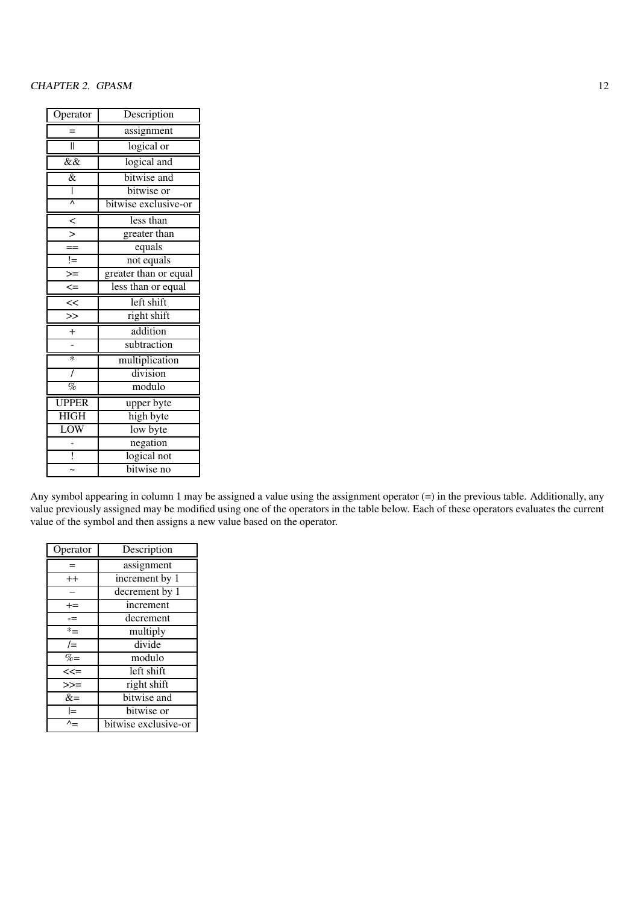| Operator            | Description           |  |  |
|---------------------|-----------------------|--|--|
|                     | assignment            |  |  |
| II                  | logical or            |  |  |
| $\overline{\&\&}$   | logical and           |  |  |
| $\overline{\&}$     | bitwise and           |  |  |
| I                   | bitwise or            |  |  |
| $\overline{\wedge}$ | bitwise exclusive-or  |  |  |
| $\leq$              | less than             |  |  |
|                     | greater than          |  |  |
| $=$                 | equals                |  |  |
| $!=$                | not equals            |  |  |
| $\geq$              | greater than or equal |  |  |
| $\leq$              | less than or equal    |  |  |
| <<                  | left shift            |  |  |
| $\geq$              | right shift           |  |  |
| $^{+}$              | addition              |  |  |
|                     | subtraction           |  |  |
| $\ast$              | multiplication        |  |  |
| $\prime$            | division              |  |  |
| $\%$                | modulo                |  |  |
| <b>UPPER</b>        | upper byte            |  |  |
| <b>HIGH</b>         | high byte             |  |  |
| LOW                 | low byte              |  |  |
|                     | negation              |  |  |
| ļ                   | logical not           |  |  |
|                     | bitwise no            |  |  |

Any symbol appearing in column 1 may be assigned a value using the assignment operator (=) in the previous table. Additionally, any value previously assigned may be modified using one of the operators in the table below. Each of these operators evaluates the current value of the symbol and then assigns a new value based on the operator.

| Operator | Description          |
|----------|----------------------|
|          | assignment           |
| $^{++}$  | increment by 1       |
|          | decrement by 1       |
| $+=$     | increment            |
| $=$      | decrement            |
| $*_{=}$  | multiply             |
| $/ =$    | divide               |
| $\% =$   | modulo               |
| $<< =$   | left shift           |
| $>>=$    | right shift          |
| $&=$     | bitwise and          |
| l=       | bitwise or           |
|          | bitwise exclusive-or |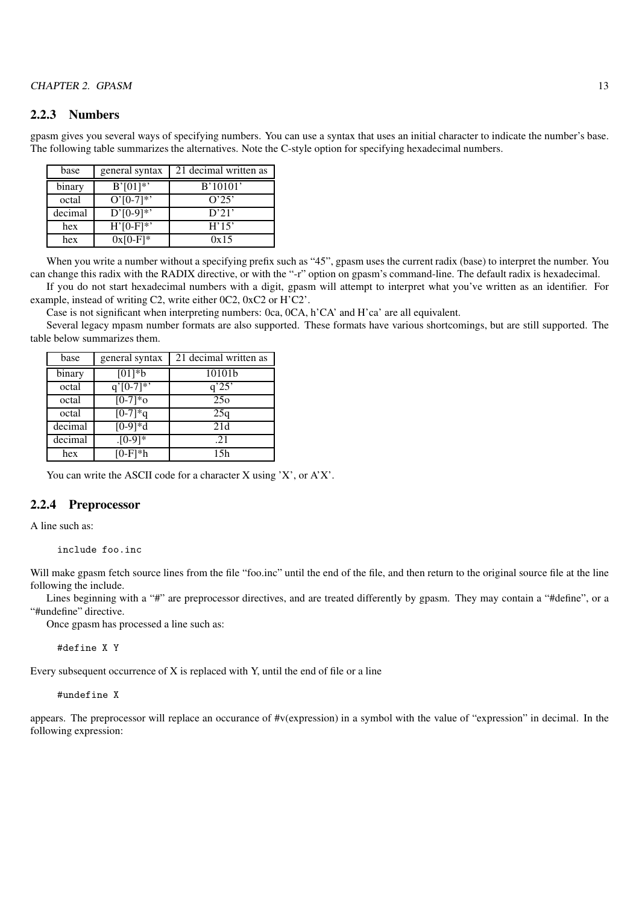#### 2.2.3 Numbers

gpasm gives you several ways of specifying numbers. You can use a syntax that uses an initial character to indicate the number's base. The following table summarizes the alternatives. Note the C-style option for specifying hexadecimal numbers.

| base    | general syntax | 21 decimal written as |
|---------|----------------|-----------------------|
| binary  | $B'[01]*$      | B'10101'              |
| octal   | $O'[0-7]*$     | O'25'                 |
| decimal | $D'[0-9]*$     | D'21'                 |
| hex     | $H'[0-F]^{*}$  | H'15'                 |
| hex     | $0x[0-F]$ *    | 0x15                  |

When you write a number without a specifying prefix such as "45", gpasm uses the current radix (base) to interpret the number. You can change this radix with the RADIX directive, or with the "-r" option on gpasm's command-line. The default radix is hexadecimal.

If you do not start hexadecimal numbers with a digit, gpasm will attempt to interpret what you've written as an identifier. For example, instead of writing C2, write either 0C2, 0xC2 or H'C2'.

Case is not significant when interpreting numbers: 0ca, 0CA, h'CA' and H'ca' are all equivalent.

Several legacy mpasm number formats are also supported. These formats have various shortcomings, but are still supported. The table below summarizes them.

| base    | general syntax  | 21 decimal written as |
|---------|-----------------|-----------------------|
| binary  | $[01]*b$        | 10101b                |
| octal   | $q^{7}$ [0-7]*' | q'25'                 |
| octal   | $[0-7]*o$       | 25 <sub>o</sub>       |
| octal   | $[0-7]*q$       | 25q                   |
| decimal | $[0-9]*d$       | 21d                   |
| decimal | $. [0-9]*$      | .21                   |
| hex     | $[0-F]*h$       | 15h                   |

You can write the ASCII code for a character X using 'X', or A'X'.

### 2.2.4 Preprocessor

A line such as:

include foo.inc

Will make gpasm fetch source lines from the file "foo.inc" until the end of the file, and then return to the original source file at the line following the include.

Lines beginning with a "#" are preprocessor directives, and are treated differently by gpasm. They may contain a "#define", or a "#undefine" directive.

Once gpasm has processed a line such as:

#define X Y

Every subsequent occurrence of X is replaced with Y, until the end of file or a line

#### #undefine X

appears. The preprocessor will replace an occurance of #v(expression) in a symbol with the value of "expression" in decimal. In the following expression: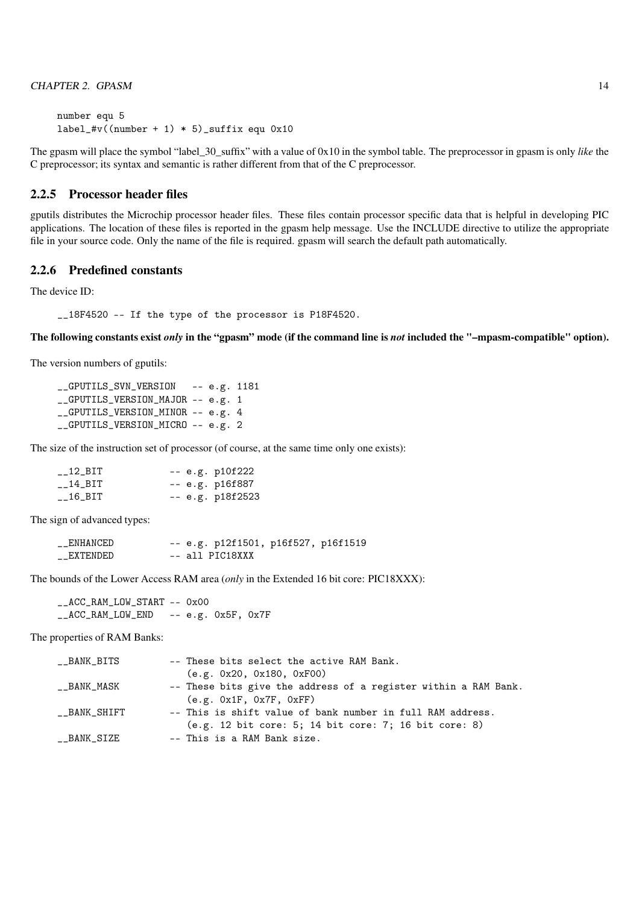number equ 5 label\_#v((number + 1) \* 5)\_suffix equ  $0x10$ 

The gpasm will place the symbol "label\_30\_suffix" with a value of 0x10 in the symbol table. The preprocessor in gpasm is only *like* the C preprocessor; its syntax and semantic is rather different from that of the C preprocessor.

# 2.2.5 Processor header files

gputils distributes the Microchip processor header files. These files contain processor specific data that is helpful in developing PIC applications. The location of these files is reported in the gpasm help message. Use the INCLUDE directive to utilize the appropriate file in your source code. Only the name of the file is required. gpasm will search the default path automatically.

## 2.2.6 Predefined constants

The device ID:

\_\_18F4520 -- If the type of the processor is P18F4520.

The following constants exist *only* in the "gpasm" mode (if the command line is *not* included the "–mpasm-compatible" option).

The version numbers of gputils:

\_\_GPUTILS\_SVN\_VERSION -- e.g. 1181 \_\_GPUTILS\_VERSION\_MAJOR -- e.g. 1 \_\_GPUTILS\_VERSION\_MINOR -- e.g. 4 \_\_GPUTILS\_VERSION\_MICRO -- e.g. 2

The size of the instruction set of processor (of course, at the same time only one exists):

| $_{-\text{-}}$ 12_BIT | -- e.g. p10f222  |
|-----------------------|------------------|
| $_{\rm -14\_BIT}$     | -- e.g. p16f887  |
| $-16$ $-BIT$          | -- e.g. p18f2523 |

The sign of advanced types:

| __ENHANCED |  | -- e.g. p12f1501, p16f527, p16f1519 |  |
|------------|--|-------------------------------------|--|
| __EXTENDED |  | -- all PIC18XXX                     |  |

The bounds of the Lower Access RAM area (*only* in the Extended 16 bit core: PIC18XXX):

\_\_ACC\_RAM\_LOW\_START -- 0x00 \_\_ACC\_RAM\_LOW\_END -- e.g. 0x5F, 0x7F

The properties of RAM Banks:

| __BANK_BITS  | -- These bits select the active RAM Bank.                       |
|--------------|-----------------------------------------------------------------|
|              | (e.g. 0x20, 0x180, 0xF00)                                       |
| __BANK_MASK  | -- These bits give the address of a register within a RAM Bank. |
|              | (e.g. 0x1F, 0x7F, 0xFF)                                         |
| __BANK_SHIFT | -- This is shift value of bank number in full RAM address.      |
|              | (e.g. 12 bit core: 5; 14 bit core: 7; 16 bit core: 8)           |
| __BANK_SIZE  | -- This is a RAM Bank size.                                     |
|              |                                                                 |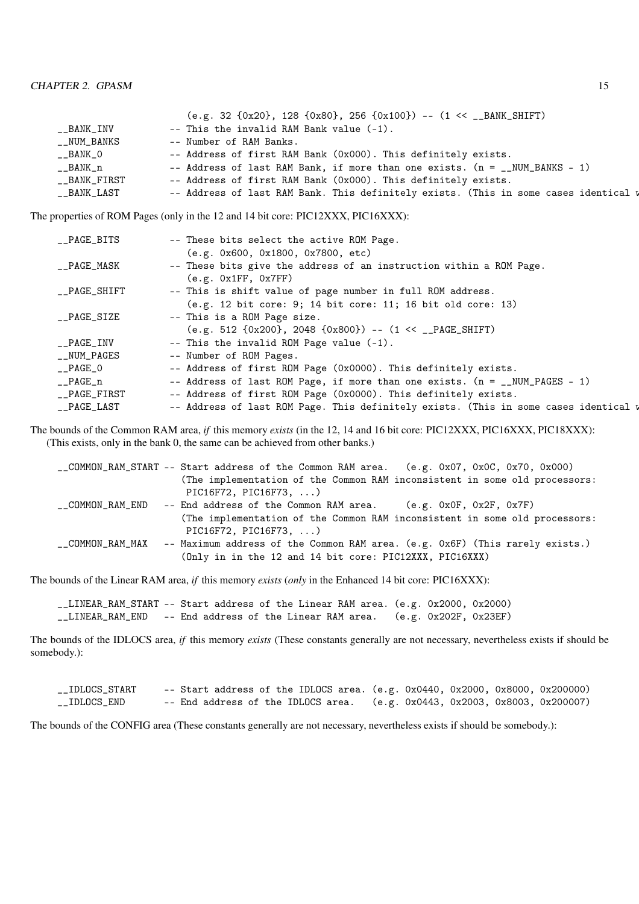|              | $(e.g. 32 \{0x20\}, 128 \{0x80\}, 256 \{0x100\})$ -- $(1 \leq \square BANK\_SHIFT)$  |
|--------------|--------------------------------------------------------------------------------------|
|              |                                                                                      |
| __BANK_INV   | -- This the invalid RAM Bank value (-1).                                             |
| __NUM_BANKS  | -- Number of RAM Banks.                                                              |
| __BANK_O     | -- Address of first RAM Bank (0x000). This definitely exists.                        |
| __BANK_n     | -- Address of last RAM Bank, if more than one exists. $(n = 1.000)$ MM-BANKS - 1)    |
| __BANK_FIRST | -- Address of first RAM Bank (0x000). This definitely exists.                        |
| __BANK_LAST  | -- Address of last RAM Bank. This definitely exists. (This in some cases identical w |

The properties of ROM Pages (only in the 12 and 14 bit core: PIC12XXX, PIC16XXX):

| __PAGE_BITS      | -- These bits select the active ROM Page.                                                                |
|------------------|----------------------------------------------------------------------------------------------------------|
| __PAGE_MASK      | (e.g. 0x600, 0x1800, 0x7800, etc)<br>-- These bits give the address of an instruction within a ROM Page. |
|                  | (e.g. 0x1FF, 0x7FF)                                                                                      |
| __PAGE_SHIFT     | -- This is shift value of page number in full ROM address.                                               |
|                  | (e.g. 12 bit core: 9; 14 bit core: 11; 16 bit old core: 13)                                              |
| $\_$ PAGE_SIZE   | -- This is a ROM Page size.                                                                              |
|                  | $(e.g. 512 \{0x200\}, 2048 \{0x800\})$ -- $(1 \ll \_PAGE\_SHIFT)$                                        |
| __PAGE_INV       | $--$ This the invalid ROM Page value $(-1)$ .                                                            |
| __NUM_PAGES      | -- Number of ROM Pages.                                                                                  |
| $\_PAGE_0$       | -- Address of first ROM Page (0x0000). This definitely exists.                                           |
| $\_$ PAGE $\_$ n | -- Address of last ROM Page, if more than one exists. $(n = \text{IWM}_{PAGES} - 1)$                     |
| __PAGE_FIRST     | -- Address of first ROM Page (0x0000). This definitely exists.                                           |
| __PAGE_LAST      | -- Address of last ROM Page. This definitely exists. (This in some cases identical w                     |

The bounds of the Common RAM area, *if* this memory *exists* (in the 12, 14 and 16 bit core: PIC12XXX, PIC16XXX, PIC18XXX): (This exists, only in the bank 0, the same can be achieved from other banks.)

|                  | __COMMON_RAM_START -- Start address of the Common RAM area. (e.g. 0x07, 0x0C, 0x70, 0x000)                                              |
|------------------|-----------------------------------------------------------------------------------------------------------------------------------------|
|                  | (The implementation of the Common RAM inconsistent in some old processors:                                                              |
|                  | PIC16F72, PIC16F73, $\ldots$ )                                                                                                          |
| __COMMON_RAM_END | -- End address of the Common RAM area. (e.g. $0x0F$ , $0x2F$ , $0x7F$ )                                                                 |
|                  | (The implementation of the Common RAM inconsistent in some old processors:<br>PIC16F72, PIC16F73, $\ldots$ )                            |
| COMMON RAM MAX   | -- Maximum address of the Common RAM area. (e.g. 0x6F) (This rarely exists.)<br>(Only in in the 12 and 14 bit core: PIC12XXX, PIC16XXX) |

The bounds of the Linear RAM area, *if* this memory *exists* (*only* in the Enhanced 14 bit core: PIC16XXX):

\_\_LINEAR\_RAM\_START -- Start address of the Linear RAM area. (e.g. 0x2000, 0x2000) \_\_LINEAR\_RAM\_END -- End address of the Linear RAM area. (e.g. 0x202F, 0x23EF)

The bounds of the IDLOCS area, *if* this memory *exists* (These constants generally are not necessary, nevertheless exists if should be somebody.):

| __IDLOCS_START | -- Start address of the IDLOCS area. $(e.g. 0x0440, 0x2000, 0x8000, 0x200000)$ |  |  |                                         |
|----------------|--------------------------------------------------------------------------------|--|--|-----------------------------------------|
| __IDLOCS_END   | -- End address of the IDLOCS area.                                             |  |  | (e.g. 0x0443, 0x2003, 0x8003, 0x200007) |

The bounds of the CONFIG area (These constants generally are not necessary, nevertheless exists if should be somebody.):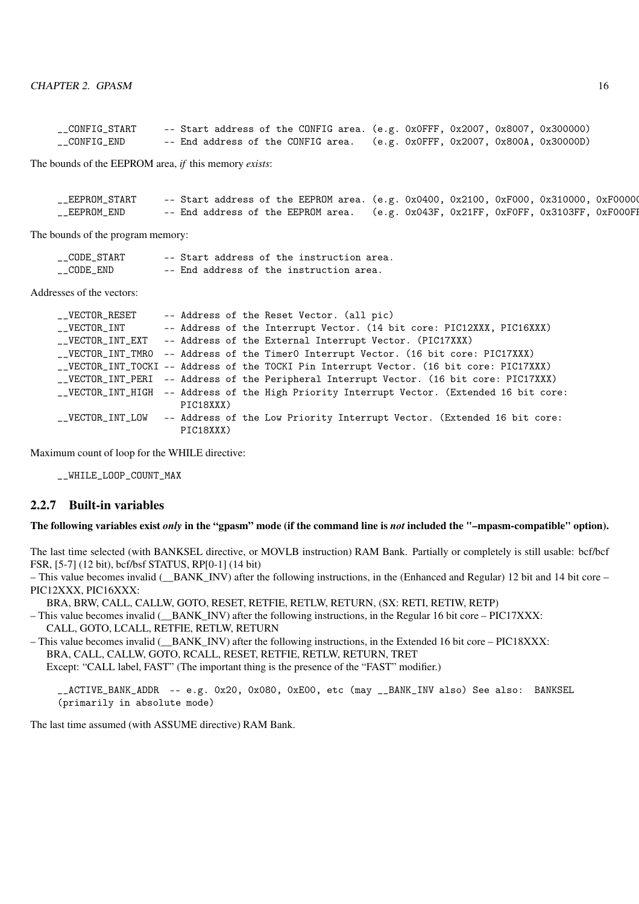| __CONFIG_START | -- Start address of the CONFIG area. (e.g. 0x0FFF, 0x2007, 0x8007, 0x300000) |  |                                         |
|----------------|------------------------------------------------------------------------------|--|-----------------------------------------|
| __CONFIG_END   | -- End address of the CONFIG area.                                           |  | (e.g. 0x0FFF, 0x2007, 0x800A, 0x30000D) |

The bounds of the EEPROM area, *if* this memory *exists*:

| __EEPROM_START |                                    | -- Start address of the EEPROM area. (e.g. $0x0400$ , $0x2100$ , $0xF000$ , $0x310000$ , $0xF00000$ |
|----------------|------------------------------------|-----------------------------------------------------------------------------------------------------|
| __EEPROM_END   | -- End address of the EEPROM area. | (e.g. 0x043F, 0x21FF, 0xF0FF, 0x3103FF, 0xF000FH                                                    |

The bounds of the program memory:

| __CODE_START |  |  |  | -- Start address of the instruction area. |  |
|--------------|--|--|--|-------------------------------------------|--|
| __CODE_END   |  |  |  | -- End address of the instruction area.   |  |

Addresses of the vectors:

| __VECTOR_RESET |           | -- Address of the Reset Vector. (all pic)                                                  |
|----------------|-----------|--------------------------------------------------------------------------------------------|
| __VECTOR_INT   |           | -- Address of the Interrupt Vector. (14 bit core: PIC12XXX, PIC16XXX)                      |
|                |           | __VECTOR_INT_EXT -- Address of the External Interrupt Vector. (PIC17XXX)                   |
|                |           | __VECTOR_INT_TMRO -- Address of the TimerO Interrupt Vector. (16 bit core: PIC17XXX)       |
|                |           | __VECTOR_INT_TOCKI -- Address of the TOCKI Pin Interrupt Vector. (16 bit core: PIC17XXX)   |
|                |           | __VECTOR_INT_PERI -- Address of the Peripheral Interrupt Vector. (16 bit core: PIC17XXX)   |
|                |           | __VECTOR_INT_HIGH -- Address of the High Priority Interrupt Vector. (Extended 16 bit core: |
|                | PIC18XXX) |                                                                                            |
|                |           | __VECTOR_INT_LOW -- Address of the Low Priority Interrupt Vector. (Extended 16 bit core:   |
|                | PIC18XXX) |                                                                                            |

Maximum count of loop for the WHILE directive:

\_\_WHILE\_LOOP\_COUNT\_MAX

#### 2.2.7 Built-in variables

#### The following variables exist *only* in the "gpasm" mode (if the command line is *not* included the "–mpasm-compatible" option).

The last time selected (with BANKSEL directive, or MOVLB instruction) RAM Bank. Partially or completely is still usable: bcf/bcf FSR, [5-7] (12 bit), bcf/bsf STATUS, RP[0-1] (14 bit)

– This value becomes invalid ( $\parallel$ BANK $\parallel$ INV) after the following instructions, in the (Enhanced and Regular) 12 bit and 14 bit core – PIC12XXX, PIC16XXX:

BRA, BRW, CALL, CALLW, GOTO, RESET, RETFIE, RETLW, RETURN, (SX: RETI, RETIW, RETP)

– This value becomes invalid (\_\_BANK\_INV) after the following instructions, in the Regular 16 bit core – PIC17XXX: CALL, GOTO, LCALL, RETFIE, RETLW, RETURN

 $-$  This value becomes invalid ( $\overline{BANK}$  INV) after the following instructions, in the Extended 16 bit core – PIC18XXX: BRA, CALL, CALLW, GOTO, RCALL, RESET, RETFIE, RETLW, RETURN, TRET

Except: "CALL label, FAST" (The important thing is the presence of the "FAST" modifier.)

\_\_ACTIVE\_BANK\_ADDR -- e.g. 0x20, 0x080, 0xE00, etc (may \_\_BANK\_INV also) See also: BANKSEL (primarily in absolute mode)

The last time assumed (with ASSUME directive) RAM Bank.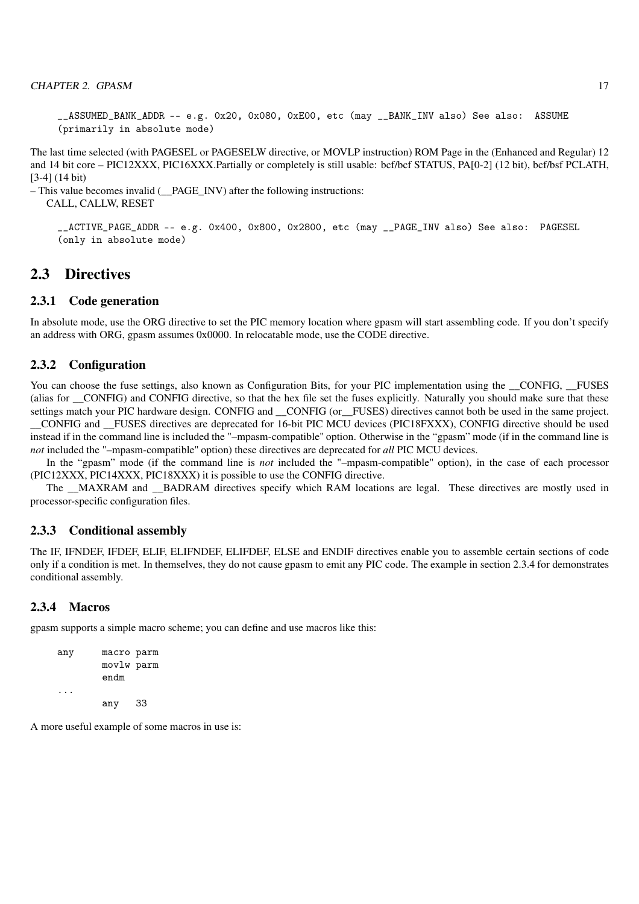```
__ASSUMED_BANK_ADDR -- e.g. 0x20, 0x080, 0xE00, etc (may __BANK_INV also) See also: ASSUME
(primarily in absolute mode)
```
The last time selected (with PAGESEL or PAGESELW directive, or MOVLP instruction) ROM Page in the (Enhanced and Regular) 12 and 14 bit core – PIC12XXX, PIC16XXX.Partially or completely is still usable: bcf/bcf STATUS, PA[0-2] (12 bit), bcf/bsf PCLATH, [3-4] (14 bit)

– This value becomes invalid (\_\_PAGE\_INV) after the following instructions:

CALL, CALLW, RESET

\_\_ACTIVE\_PAGE\_ADDR -- e.g. 0x400, 0x800, 0x2800, etc (may \_\_PAGE\_INV also) See also: PAGESEL (only in absolute mode)

# 2.3 Directives

#### 2.3.1 Code generation

In absolute mode, use the ORG directive to set the PIC memory location where gpasm will start assembling code. If you don't specify an address with ORG, gpasm assumes 0x0000. In relocatable mode, use the CODE directive.

#### 2.3.2 Configuration

You can choose the fuse settings, also known as Configuration Bits, for your PIC implementation using the CONFIG, FUSES (alias for CONFIG) and CONFIG directive, so that the hex file set the fuses explicitly. Naturally you should make sure that these settings match your PIC hardware design. CONFIG and CONFIG (or \_FUSES) directives cannot both be used in the same project. \_\_CONFIG and \_\_FUSES directives are deprecated for 16-bit PIC MCU devices (PIC18FXXX), CONFIG directive should be used instead if in the command line is included the "–mpasm-compatible" option. Otherwise in the "gpasm" mode (if in the command line is *not* included the "–mpasm-compatible" option) these directives are deprecated for *all* PIC MCU devices.

In the "gpasm" mode (if the command line is *not* included the "–mpasm-compatible" option), in the case of each processor (PIC12XXX, PIC14XXX, PIC18XXX) it is possible to use the CONFIG directive.

The \_\_MAXRAM and \_\_BADRAM directives specify which RAM locations are legal. These directives are mostly used in processor-specific configuration files.

#### 2.3.3 Conditional assembly

The IF, IFNDEF, IFDEF, ELIF, ELIFNDEF, ELIFDEF, ELSE and ENDIF directives enable you to assemble certain sections of code only if a condition is met. In themselves, they do not cause gpasm to emit any PIC code. The example in section 2.3.4 for demonstrates conditional assembly.

#### 2.3.4 Macros

gpasm supports a simple macro scheme; you can define and use macros like this:

```
any macro parm
       movlw parm
       endm
...
       any 33
```
A more useful example of some macros in use is: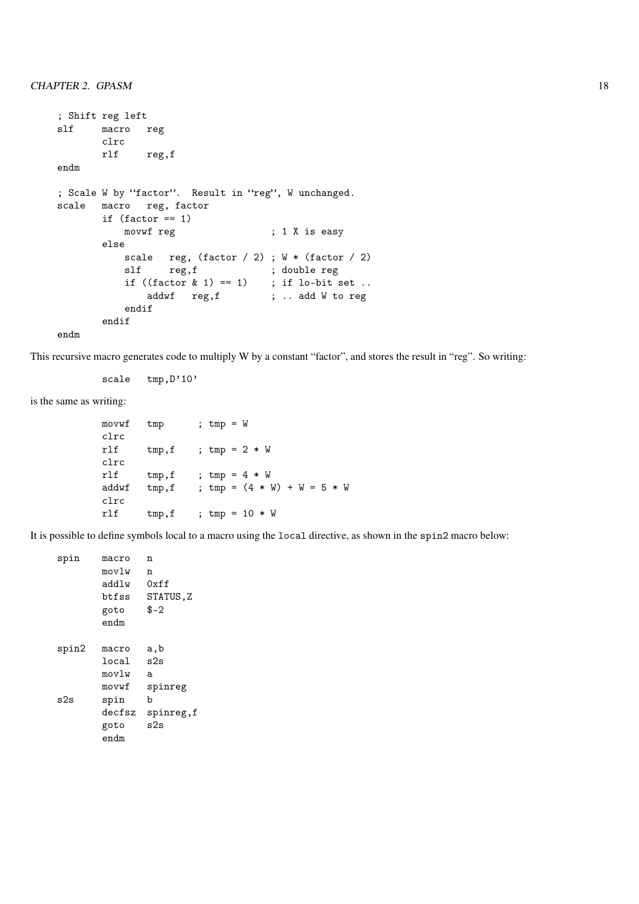```
; Shift reg left
slf macro reg
        clrc
        rlf reg,f
endm
; Scale W by "factor". Result in "reg", W unchanged.
scale macro reg, factor
         if (factor == 1)movwf reg ; 1 X is easy
         else
             \begin{tabular}{ll} scale & reg, (factor / 2) ; W * (factor / 2) \\ slf & reg, f & ; double reg \\ \end{tabular}slf reg, f ; double reg<br>if ((factor \& 1) == 1) ; if lo-bit set ..
             if ((factor \& 1) == 1)addwf reg, f ; .. add W to reg
             endif
         endif
endm
```
This recursive macro generates code to multiply W by a constant "factor", and stores the result in "reg". So writing:

scale tmp, D'10'

is the same as writing:

movwf tmp ; tmp = W clrc rlf  $tmp, f$  ;  $tmp = 2 * W$ clrc rlf  $tmp, f$  ;  $tmp = 4 * W$ addwf  $tmp, f$  ;  $tmp = (4 * W) + W = 5 * W$ clrc rlf  $tmp, f$  ;  $tmp = 10 * W$ 

It is possible to define symbols local to a macro using the local directive, as shown in the spin2 macro below:

| spin  | macro  | n         |
|-------|--------|-----------|
|       | movlw  | n         |
|       | addlw  | 0xff      |
|       | btfss  | STATUS,Z  |
|       | goto   | $$ -2$    |
|       | endm   |           |
| spin2 | macro  | a,b       |
|       | local  | s2s       |
|       | movlw  | a         |
|       | movwf  | spinreg   |
| s2s   | spin   | b         |
|       | decfsz | spinreg,f |
|       | goto   | s2s       |
|       | endm   |           |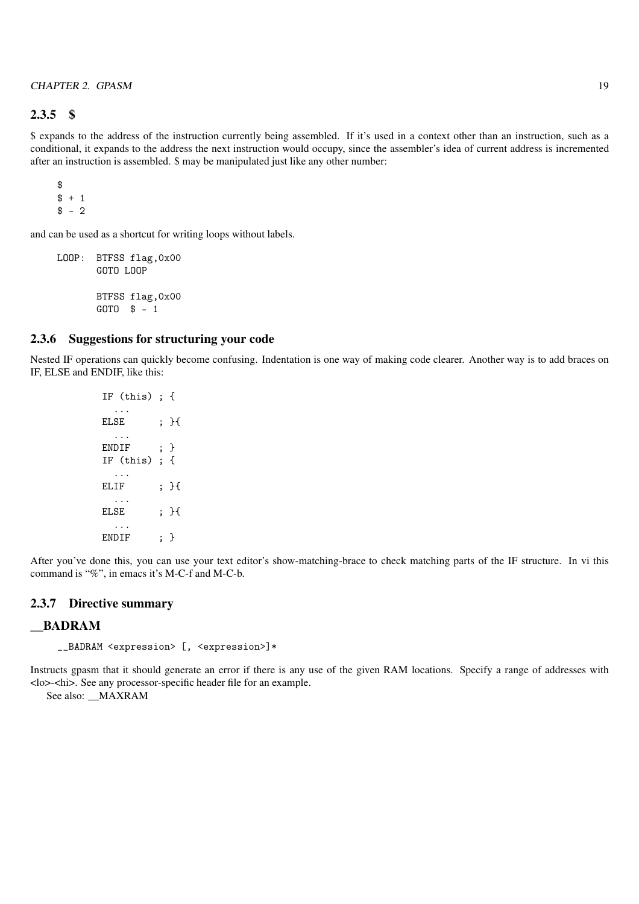# 2.3.5 \$

\$ expands to the address of the instruction currently being assembled. If it's used in a context other than an instruction, such as a conditional, it expands to the address the next instruction would occupy, since the assembler's idea of current address is incremented after an instruction is assembled. \$ may be manipulated just like any other number:

```
$
$ + 1$ - 2
```
and can be used as a shortcut for writing loops without labels.

LOOP: BTFSS flag,0x00 GOTO LOOP BTFSS flag,0x00 GOTO \$ - 1

### 2.3.6 Suggestions for structuring your code

Nested IF operations can quickly become confusing. Indentation is one way of making code clearer. Another way is to add braces on IF, ELSE and ENDIF, like this:

> IF (this) ; { ... ELSE : H ... ENDIF ; } IF (this) ; { ... ELIF ; }{ ... ELSE ; }{ ... ENDIF : }

After you've done this, you can use your text editor's show-matching-brace to check matching parts of the IF structure. In vi this command is "%", in emacs it's M-C-f and M-C-b.

### 2.3.7 Directive summary

#### \_\_BADRAM

\_\_BADRAM <expression> [, <expression>]\*

Instructs gpasm that it should generate an error if there is any use of the given RAM locations. Specify a range of addresses with <lo>-<hi>. See any processor-specific header file for an example.

See also: MAXRAM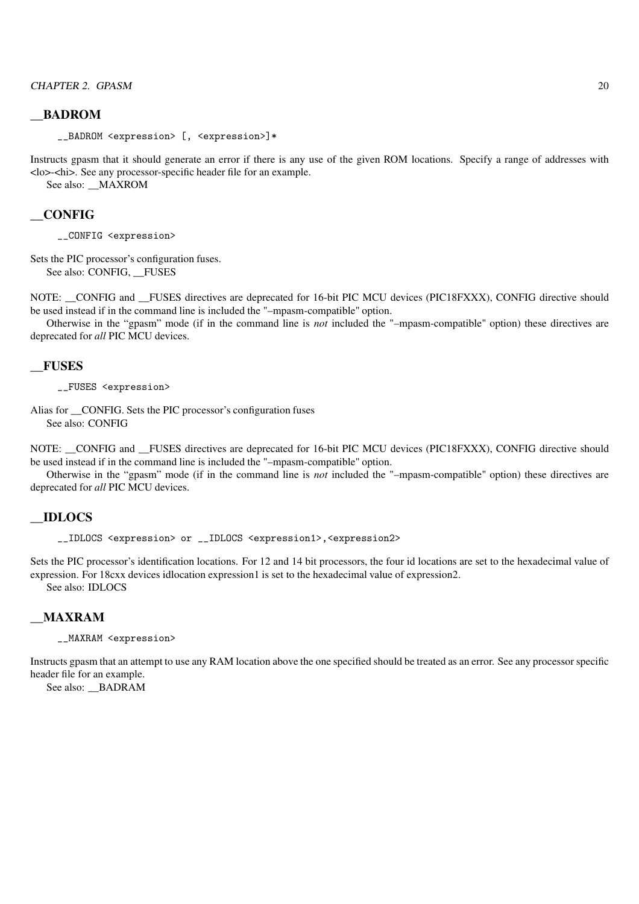### \_\_BADROM

\_\_BADROM <expression> [, <expression>]\*

Instructs gpasm that it should generate an error if there is any use of the given ROM locations. Specify a range of addresses with <lo>-<hi>. See any processor-specific header file for an example.

See also: MAXROM

# \_\_CONFIG

\_\_CONFIG <expression>

Sets the PIC processor's configuration fuses. See also: CONFIG. FUSES

NOTE: \_\_CONFIG and \_\_FUSES directives are deprecated for 16-bit PIC MCU devices (PIC18FXXX), CONFIG directive should be used instead if in the command line is included the "–mpasm-compatible" option.

Otherwise in the "gpasm" mode (if in the command line is *not* included the "–mpasm-compatible" option) these directives are deprecated for *all* PIC MCU devices.

## \_\_FUSES

\_\_FUSES <expression>

Alias for \_\_CONFIG. Sets the PIC processor's configuration fuses See also: CONFIG

NOTE: \_\_CONFIG and \_\_FUSES directives are deprecated for 16-bit PIC MCU devices (PIC18FXXX), CONFIG directive should be used instead if in the command line is included the "–mpasm-compatible" option.

Otherwise in the "gpasm" mode (if in the command line is *not* included the "–mpasm-compatible" option) these directives are deprecated for *all* PIC MCU devices.

#### \_\_IDLOCS

\_\_IDLOCS <expression> or \_\_IDLOCS <expression1>,<expression2>

Sets the PIC processor's identification locations. For 12 and 14 bit processors, the four id locations are set to the hexadecimal value of expression. For 18cxx devices idlocation expression1 is set to the hexadecimal value of expression2. See also: IDLOCS

#### \_\_MAXRAM

\_\_MAXRAM <expression>

Instructs gpasm that an attempt to use any RAM location above the one specified should be treated as an error. See any processor specific header file for an example.

See also: \_\_BADRAM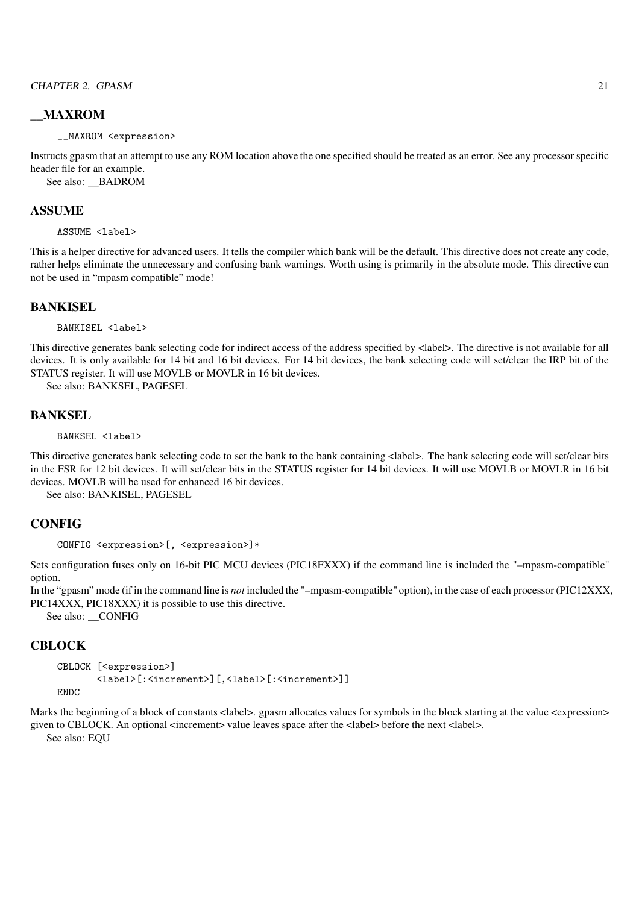# \_\_MAXROM

\_\_MAXROM <expression>

Instructs gpasm that an attempt to use any ROM location above the one specified should be treated as an error. See any processor specific header file for an example.

See also: \_\_BADROM

## ASSUME

ASSUME <label>

This is a helper directive for advanced users. It tells the compiler which bank will be the default. This directive does not create any code, rather helps eliminate the unnecessary and confusing bank warnings. Worth using is primarily in the absolute mode. This directive can not be used in "mpasm compatible" mode!

## **BANKISEL**

BANKISEL <label>

This directive generates bank selecting code for indirect access of the address specified by <label>. The directive is not available for all devices. It is only available for 14 bit and 16 bit devices. For 14 bit devices, the bank selecting code will set/clear the IRP bit of the STATUS register. It will use MOVLB or MOVLR in 16 bit devices.

See also: BANKSEL, PAGESEL

#### **BANKSEL**

BANKSEL <label>

This directive generates bank selecting code to set the bank to the bank containing <label>. The bank selecting code will set/clear bits in the FSR for 12 bit devices. It will set/clear bits in the STATUS register for 14 bit devices. It will use MOVLB or MOVLR in 16 bit devices. MOVLB will be used for enhanced 16 bit devices.

See also: BANKISEL, PAGESEL

## **CONFIG**

```
CONFIG <expression>[, <expression>]*
```
Sets configuration fuses only on 16-bit PIC MCU devices (PIC18FXXX) if the command line is included the "–mpasm-compatible" option.

In the "gpasm" mode (if in the command line is *not* included the "–mpasm-compatible" option), in the case of each processor (PIC12XXX, PIC14XXX, PIC18XXX) it is possible to use this directive.

See also: \_\_CONFIG

## **CBLOCK**

```
CBLOCK [<expression>]
       <label>[:<increment>][,<label>[:<increment>]]
```
**ENDC** 

Marks the beginning of a block of constants <label>. gpasm allocates values for symbols in the block starting at the value <expression> given to CBLOCK. An optional <increment> value leaves space after the <a></a>label> before the next <a></abel>.

See also: EQU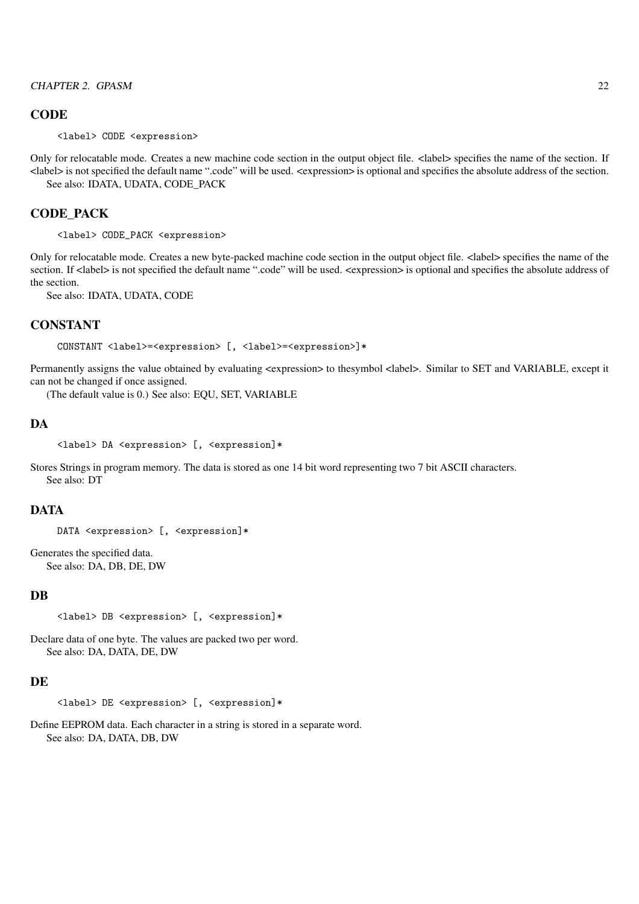#### **CODE**

<label> CODE <expression>

Only for relocatable mode. Creates a new machine code section in the output object file. <label> specifies the name of the section. If <label> is not specified the default name ".code" will be used. <expression> is optional and specifies the absolute address of the section. See also: IDATA, UDATA, CODE\_PACK

#### CODE\_PACK

<label> CODE\_PACK <expression>

Only for relocatable mode. Creates a new byte-packed machine code section in the output object file. <label> specifies the name of the section. If <label> is not specified the default name ".code" will be used. <expression> is optional and specifies the absolute address of the section.

See also: IDATA, UDATA, CODE

# **CONSTANT**

CONSTANT <label>=<expression> [, <label>=<expression>]\*

Permanently assigns the value obtained by evaluating <expression> to thesymbol <label>. Similar to SET and VARIABLE, except it can not be changed if once assigned.

(The default value is 0.) See also: EQU, SET, VARIABLE

#### **DA**

```
<label> DA <expression> [, <expression]*
```
Stores Strings in program memory. The data is stored as one 14 bit word representing two 7 bit ASCII characters. See also: DT

#### DATA

```
DATA <expression> [, <expression]*
```
Generates the specified data. See also: DA, DB, DE, DW

## **DB**

```
<label> DB <expression> [, <expression]*
```
Declare data of one byte. The values are packed two per word. See also: DA, DATA, DE, DW

#### **DE**

```
<label> DE <expression> [, <expression]*
```
Define EEPROM data. Each character in a string is stored in a separate word. See also: DA, DATA, DB, DW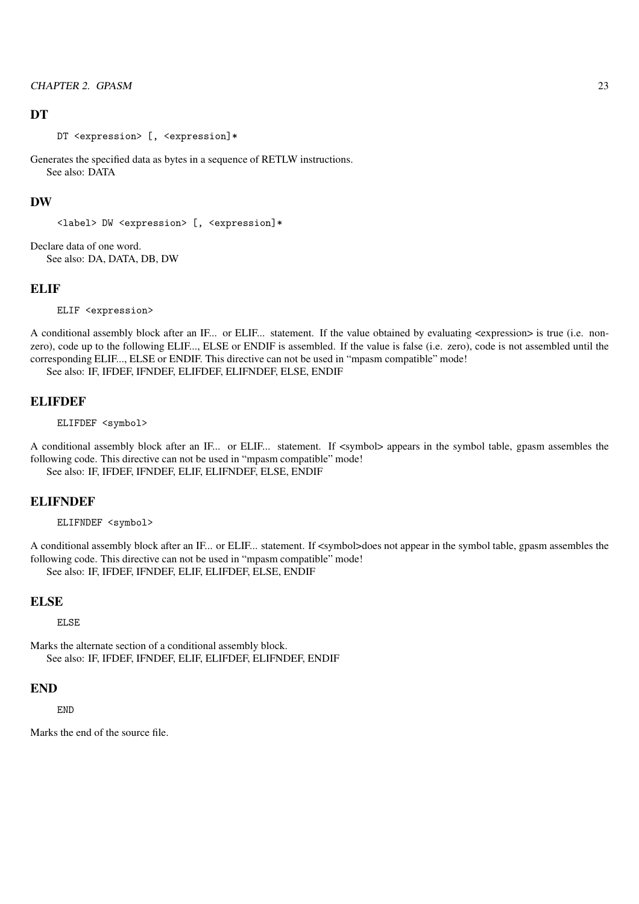#### **DT**

DT <expression> [, <expression]\*

Generates the specified data as bytes in a sequence of RETLW instructions. See also: DATA

#### DW

```
<label> DW <expression> [, <expression]*
```
Declare data of one word. See also: DA, DATA, DB, DW

#### **ELIF**

ELIF <expression>

A conditional assembly block after an IF... or ELIF... statement. If the value obtained by evaluating <expression> is true (i.e. nonzero), code up to the following ELIF..., ELSE or ENDIF is assembled. If the value is false (i.e. zero), code is not assembled until the corresponding ELIF..., ELSE or ENDIF. This directive can not be used in "mpasm compatible" mode! See also: IF, IFDEF, IFNDEF, ELIFDEF, ELIFNDEF, ELSE, ENDIF

# **ELIFDEF**

ELIFDEF <symbol>

A conditional assembly block after an IF... or ELIF... statement. If <symbol> appears in the symbol table, gpasm assembles the following code. This directive can not be used in "mpasm compatible" mode! See also: IF, IFDEF, IFNDEF, ELIF, ELIFNDEF, ELSE, ENDIF

#### ELIFNDEF

ELIFNDEF <symbol>

A conditional assembly block after an IF... or ELIF... statement. If <symbol>does not appear in the symbol table, gpasm assembles the following code. This directive can not be used in "mpasm compatible" mode! See also: IF, IFDEF, IFNDEF, ELIF, ELIFDEF, ELSE, ENDIF

#### ELSE

ELSE

Marks the alternate section of a conditional assembly block. See also: IF, IFDEF, IFNDEF, ELIF, ELIFDEF, ELIFNDEF, ENDIF

#### END

END

Marks the end of the source file.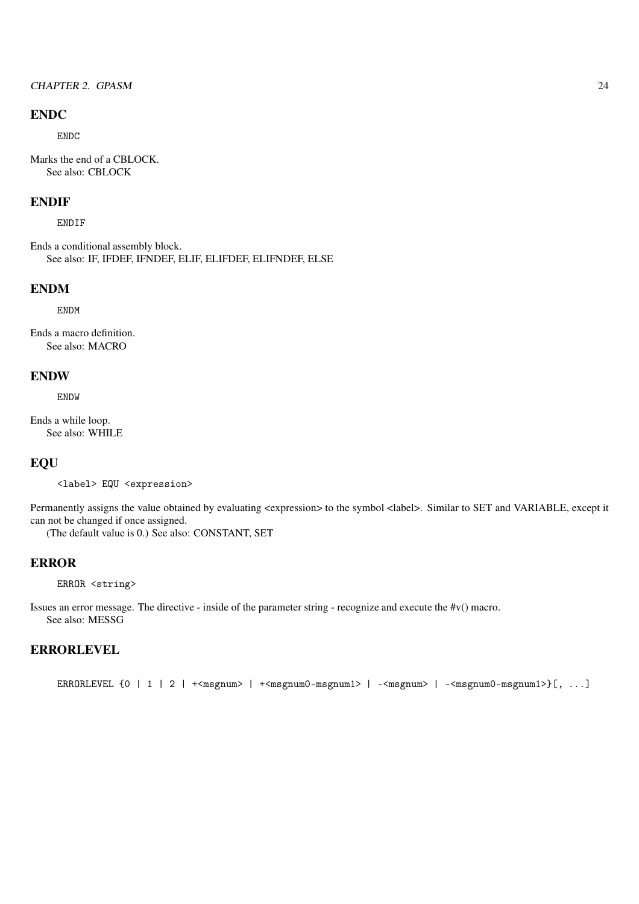### ENDC

ENDC

Marks the end of a CBLOCK. See also: CBLOCK

# ENDIF

ENDIF

Ends a conditional assembly block. See also: IF, IFDEF, IFNDEF, ELIF, ELIFDEF, ELIFNDEF, ELSE

# ENDM

ENDM

Ends a macro definition. See also: MACRO

#### ENDW

ENDW

Ends a while loop. See also: WHILE

## **EQU**

<label> EQU <expression>

Permanently assigns the value obtained by evaluating <expression> to the symbol <label>. Similar to SET and VARIABLE, except it can not be changed if once assigned.

(The default value is 0.) See also: CONSTANT, SET

# ERROR

ERROR <string>

Issues an error message. The directive - inside of the parameter string - recognize and execute the #v() macro. See also: MESSG

# ERRORLEVEL

ERRORLEVEL {0 | 1 | 2 |  $+\text{Im}gnum$  |  $+\text{Im}gnum0-msgnum1$  |  $-\text{Im}gnum$  |  $-\text{Im}gnum0-msgnum1$  } [, ...]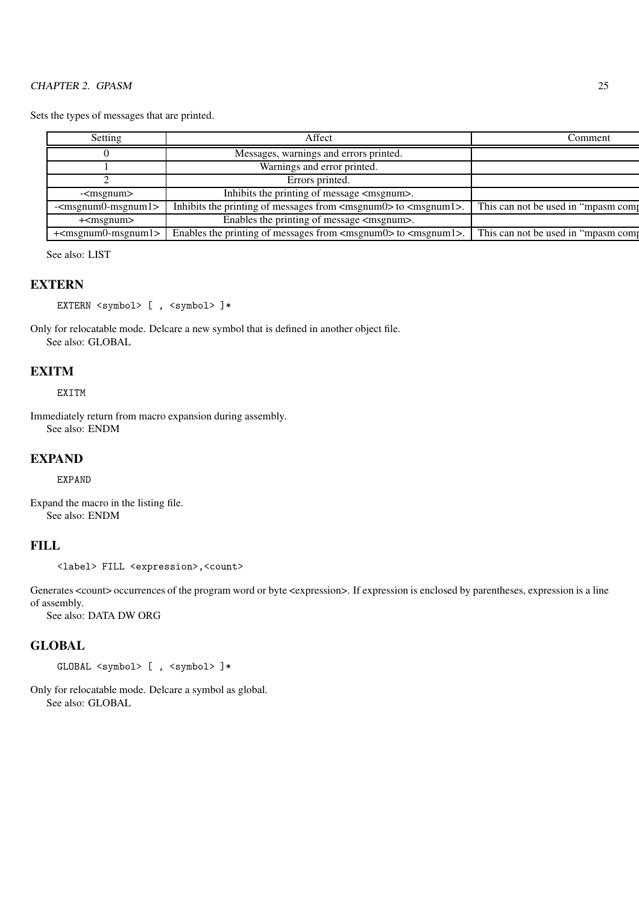Sets the types of messages that are printed.

| Setting                                                    | Affect                                                                             | Comment                             |
|------------------------------------------------------------|------------------------------------------------------------------------------------|-------------------------------------|
|                                                            | Messages, warnings and errors printed.                                             |                                     |
|                                                            | Warnings and error printed.                                                        |                                     |
|                                                            | Errors printed.                                                                    |                                     |
| - <msgnum></msgnum>                                        | Inhibits the printing of message <msgnum>.</msgnum>                                |                                     |
| $\overline{-}$ sgnum $\overline{0}$ -msgnum $\overline{1}$ | Inhibits the printing of messages from <msgnum0> to <msgnum1>.</msgnum1></msgnum0> | This can not be used in "mpasm comp |
| $+\m{cm}$ sgnum $>$                                        | Enables the printing of message <msgnum>.</msgnum>                                 |                                     |
| $\overline{+}$ <msgnum0-msgnum1></msgnum0-msgnum1>         | Enables the printing of messages from <msgnum0> to <msgnum1>.</msgnum1></msgnum0>  | This can not be used in "mpasm comp |

See also: LIST

## **EXTERN**

EXTERN <symbol> [ , <symbol> ]\*

Only for relocatable mode. Delcare a new symbol that is defined in another object file. See also: GLOBAL

# **EXITM**

EXITM

Immediately return from macro expansion during assembly. See also: ENDM

#### EXPAND

EXPAND

Expand the macro in the listing file. See also: ENDM

# FILL

<label> FILL <expression>,<count>

Generates <count> occurrences of the program word or byte <expression>. If expression is enclosed by parentheses, expression is a line of assembly.

See also: DATA DW ORG

## **GLOBAL**

GLOBAL <symbol> [ , <symbol> ]\*

Only for relocatable mode. Delcare a symbol as global. See also: GLOBAL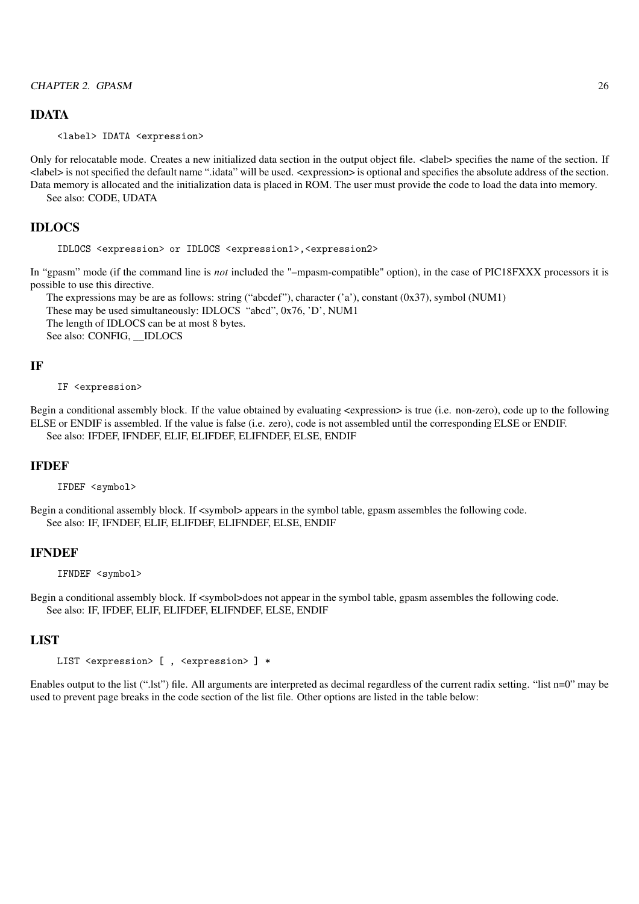#### IDATA

<label> IDATA <expression>

Only for relocatable mode. Creates a new initialized data section in the output object file. <label> specifies the name of the section. If <label> is not specified the default name ".idata" will be used. <expression> is optional and specifies the absolute address of the section. Data memory is allocated and the initialization data is placed in ROM. The user must provide the code to load the data into memory. See also: CODE, UDATA

#### IDLOCS

IDLOCS <expression> or IDLOCS <expression1>,<expression2>

In "gpasm" mode (if the command line is *not* included the "–mpasm-compatible" option), in the case of PIC18FXXX processors it is possible to use this directive.

The expressions may be are as follows: string ("abcdef"), character ('a'), constant (0x37), symbol (NUM1) These may be used simultaneously: IDLOCS "abcd", 0x76, 'D', NUM1 The length of IDLOCS can be at most 8 bytes. See also: CONFIG, IDLOCS

#### IF

#### IF <expression>

Begin a conditional assembly block. If the value obtained by evaluating <expression> is true (i.e. non-zero), code up to the following ELSE or ENDIF is assembled. If the value is false (i.e. zero), code is not assembled until the corresponding ELSE or ENDIF. See also: IFDEF, IFNDEF, ELIF, ELIFDEF, ELIFNDEF, ELSE, ENDIF

#### IFDEF

IFDEF <symbol>

Begin a conditional assembly block. If <symbol> appears in the symbol table, gpasm assembles the following code. See also: IF, IFNDEF, ELIF, ELIFDEF, ELIFNDEF, ELSE, ENDIF

#### IFNDEF

IFNDEF <symbol>

Begin a conditional assembly block. If <symbol>does not appear in the symbol table, gpasm assembles the following code. See also: IF, IFDEF, ELIF, ELIFDEF, ELIFNDEF, ELSE, ENDIF

## **LIST**

```
LIST <expression> [ , <expression> ] *
```
Enables output to the list (".lst") file. All arguments are interpreted as decimal regardless of the current radix setting. "list n=0" may be used to prevent page breaks in the code section of the list file. Other options are listed in the table below: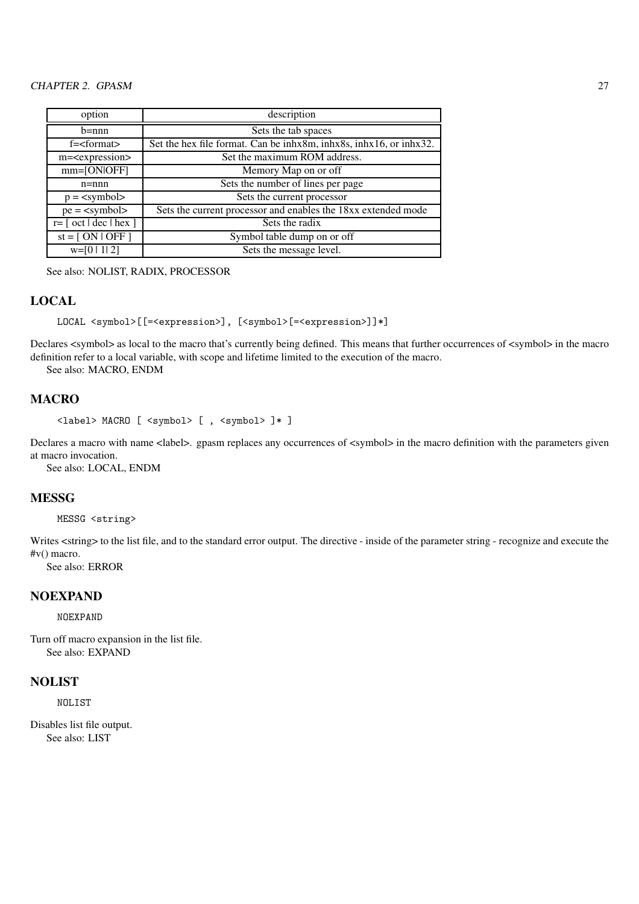| option                                                                               | description                                                        |
|--------------------------------------------------------------------------------------|--------------------------------------------------------------------|
| $b=nnn$                                                                              | Sets the tab spaces                                                |
| $f =$ $\leq$ format $>$                                                              | Set the hex file format. Can be inhx8m, inhx8s, inhx16, or inhx32. |
| m= <expression></expression>                                                         | Set the maximum ROM address.                                       |
| $mm=[ONIOFF]$                                                                        | Memory Map on or off                                               |
| $n =$ nnn                                                                            | Sets the number of lines per page                                  |
| $p = \langle symbol \rangle$                                                         | Sets the current processor                                         |
| $pe = \langle symbol \rangle$                                                        | Sets the current processor and enables the 18xx extended mode      |
| $r = \lceil \cdot \text{oct} \rceil \cdot \text{dec} \rceil \cdot \text{hex} \rceil$ | Sets the radix                                                     |
| $st = [ON   OFF]$                                                                    | Symbol table dump on or off                                        |
| $w=[0 1 2]$                                                                          | Sets the message level.                                            |

See also: NOLIST, RADIX, PROCESSOR

## LOCAL

```
LOCAL <symbol>[[=<expression>], [<symbol>[=<expression>]]*]
```
Declares <symbol> as local to the macro that's currently being defined. This means that further occurrences of <symbol> in the macro definition refer to a local variable, with scope and lifetime limited to the execution of the macro.

See also: MACRO, ENDM

# MACRO

```
<label> MACRO [ <symbol> [ , <symbol> ]* ]
```
Declares a macro with name <label>. gpasm replaces any occurrences of <symbol> in the macro definition with the parameters given at macro invocation.

See also: LOCAL, ENDM

# **MESSG**

MESSG <string>

Writes <string> to the list file, and to the standard error output. The directive - inside of the parameter string - recognize and execute the #v() macro.

See also: ERROR

# **NOEXPAND**

NOEXPAND

Turn off macro expansion in the list file. See also: EXPAND

#### NOLIST

NOLIST

Disables list file output. See also: LIST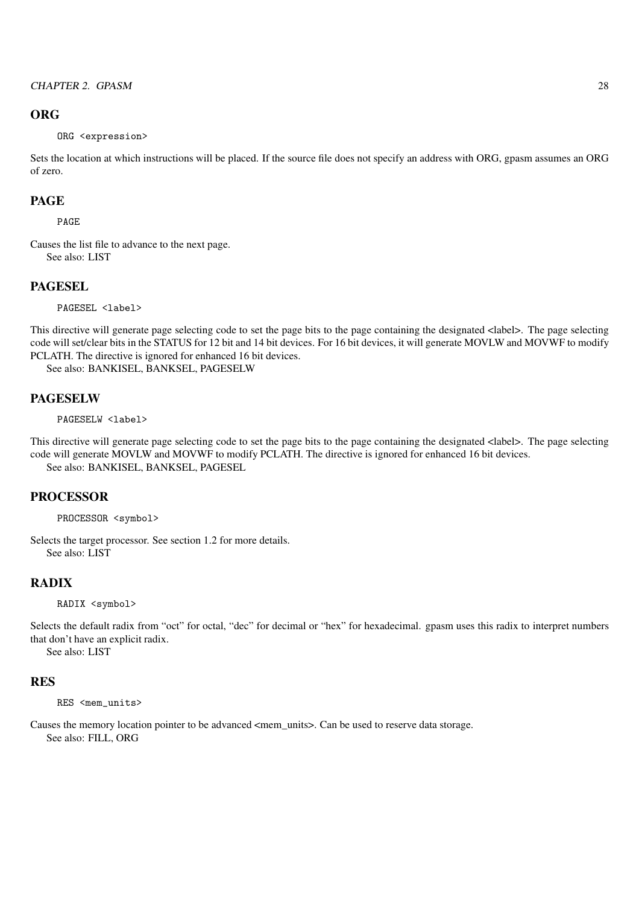## **ORG**

ORG <expression>

Sets the location at which instructions will be placed. If the source file does not specify an address with ORG, gpasm assumes an ORG of zero.

#### PAGE

PAGE

Causes the list file to advance to the next page. See also: LIST

## PAGESEL

PAGESEL <label>

This directive will generate page selecting code to set the page bits to the page containing the designated <label>. The page selecting code will set/clear bits in the STATUS for 12 bit and 14 bit devices. For 16 bit devices, it will generate MOVLW and MOVWF to modify PCLATH. The directive is ignored for enhanced 16 bit devices.

See also: BANKISEL, BANKSEL, PAGESELW

### **PAGESELW**

PAGESELW <label>

This directive will generate page selecting code to set the page bits to the page containing the designated <label>. The page selecting code will generate MOVLW and MOVWF to modify PCLATH. The directive is ignored for enhanced 16 bit devices. See also: BANKISEL, BANKSEL, PAGESEL

#### PROCESSOR

PROCESSOR <symbol>

Selects the target processor. See section 1.2 for more details. See also: LIST

# RADIX

RADIX <symbol>

Selects the default radix from "oct" for octal, "dec" for decimal or "hex" for hexadecimal. gpasm uses this radix to interpret numbers that don't have an explicit radix.

See also: LIST

#### RES

RES <mem\_units>

Causes the memory location pointer to be advanced <mem\_units>. Can be used to reserve data storage. See also: FILL, ORG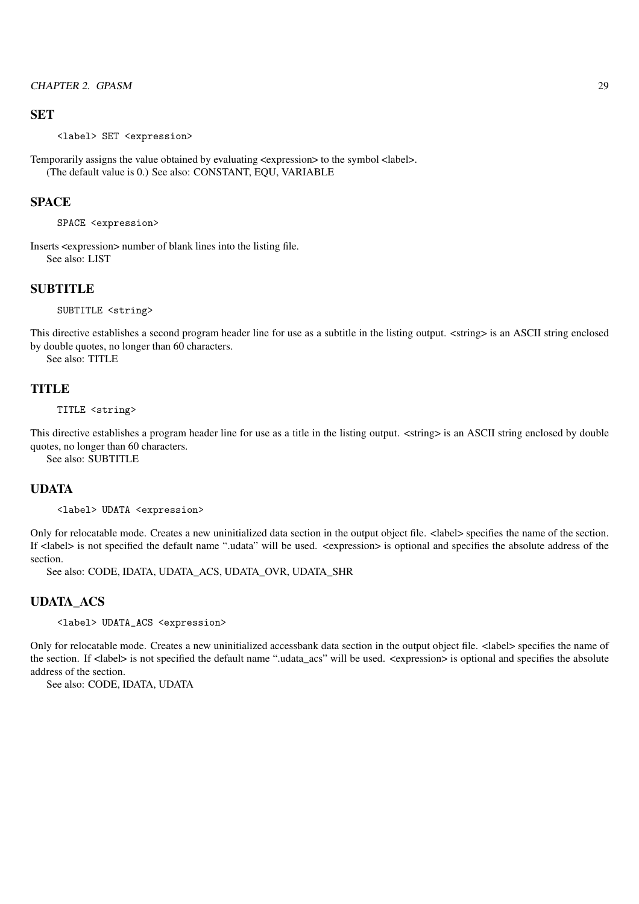#### **SET**

<label> SET <expression>

Temporarily assigns the value obtained by evaluating <expression> to the symbol <label>. (The default value is 0.) See also: CONSTANT, EQU, VARIABLE

#### **SPACE**

SPACE <expression>

Inserts <expression> number of blank lines into the listing file. See also: LIST

# **SUBTITLE**

SUBTITLE <string>

This directive establishes a second program header line for use as a subtitle in the listing output. <string> is an ASCII string enclosed by double quotes, no longer than 60 characters.

See also: TITLE

## **TITLE**

TITLE <string>

This directive establishes a program header line for use as a title in the listing output. <string> is an ASCII string enclosed by double quotes, no longer than 60 characters.

See also: SUBTITLE

# UDATA

<label> UDATA <expression>

Only for relocatable mode. Creates a new uninitialized data section in the output object file. <label> specifies the name of the section. If <label> is not specified the default name ".udata" will be used. <expression> is optional and specifies the absolute address of the section.

See also: CODE, IDATA, UDATA\_ACS, UDATA\_OVR, UDATA\_SHR

#### UDATA\_ACS

<label> UDATA\_ACS <expression>

Only for relocatable mode. Creates a new uninitialized accessbank data section in the output object file. <label> specifies the name of the section. If <label> is not specified the default name ".udata\_acs" will be used. <expression> is optional and specifies the absolute address of the section.

See also: CODE, IDATA, UDATA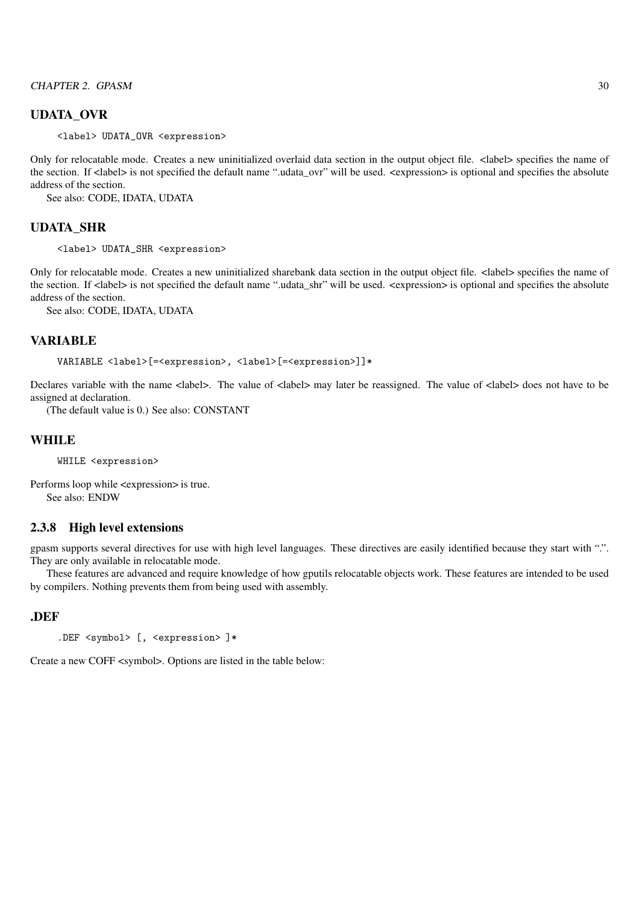#### UDATA\_OVR

<label> UDATA\_OVR <expression>

Only for relocatable mode. Creates a new uninitialized overlaid data section in the output object file. <label> specifies the name of the section. If  $\langle$ label> is not specified the default name ",udata\_ovr" will be used.  $\langle$ expression> is optional and specifies the absolute address of the section.

See also: CODE, IDATA, UDATA

#### UDATA\_SHR

<label> UDATA\_SHR <expression>

Only for relocatable mode. Creates a new uninitialized sharebank data section in the output object file. <label> specifies the name of the section. If  $\langle$ label> is not specified the default name ".udata shr" will be used.  $\langle$ expression> is optional and specifies the absolute address of the section.

See also: CODE, IDATA, UDATA

#### VARIABLE

VARIABLE <label>[=<expression>, <label>[=<expression>]]\*

Declares variable with the name <label>. The value of <label> may later be reassigned. The value of <label> does not have to be assigned at declaration.

(The default value is 0.) See also: CONSTANT

## **WHILE**

WHILE <expression>

Performs loop while <expression> is true. See also: ENDW

### 2.3.8 High level extensions

gpasm supports several directives for use with high level languages. These directives are easily identified because they start with ".". They are only available in relocatable mode.

These features are advanced and require knowledge of how gputils relocatable objects work. These features are intended to be used by compilers. Nothing prevents them from being used with assembly.

#### .DEF

```
.DEF <symbol> [, <expression> ]*
```
Create a new COFF <symbol>. Options are listed in the table below: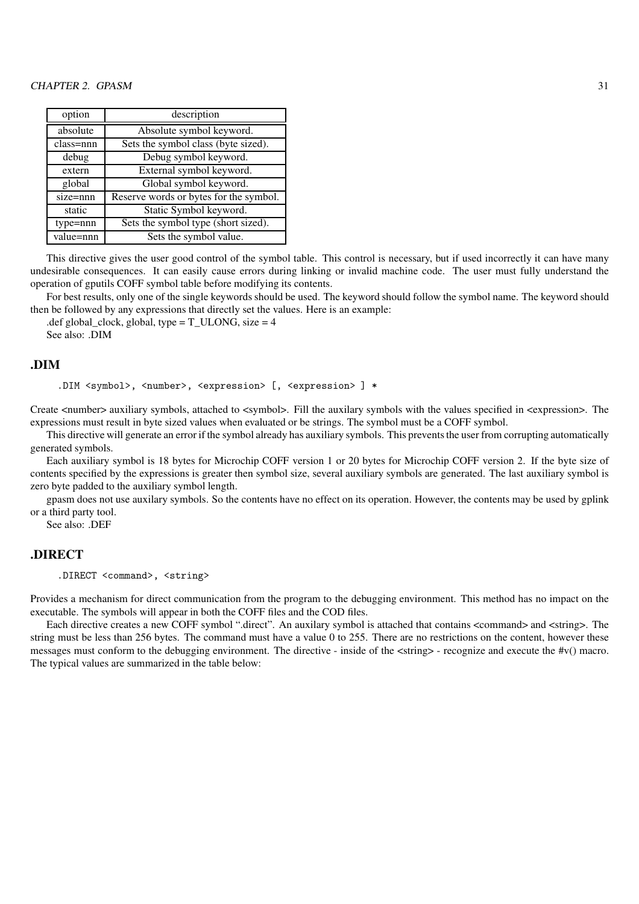| option       | description                            |
|--------------|----------------------------------------|
| absolute     | Absolute symbol keyword.               |
| class=nnn    | Sets the symbol class (byte sized).    |
| debug        | Debug symbol keyword.                  |
| extern       | External symbol keyword.               |
| global       | Global symbol keyword.                 |
| $size =$ nnn | Reserve words or bytes for the symbol. |
| static       | Static Symbol keyword.                 |
| type=nnn     | Sets the symbol type (short sized).    |
| value=nnn    | Sets the symbol value.                 |

This directive gives the user good control of the symbol table. This control is necessary, but if used incorrectly it can have many undesirable consequences. It can easily cause errors during linking or invalid machine code. The user must fully understand the operation of gputils COFF symbol table before modifying its contents.

For best results, only one of the single keywords should be used. The keyword should follow the symbol name. The keyword should then be followed by any expressions that directly set the values. Here is an example:

.def global\_clock, global, type =  $T_ULONG$ , size = 4 See also: .DIM

#### .DIM

```
.DIM <symbol>, <number>, <expression> [, <expression> ] *
```
Create <number> auxiliary symbols, attached to <symbol>. Fill the auxilary symbols with the values specified in <expression>. The expressions must result in byte sized values when evaluated or be strings. The symbol must be a COFF symbol.

This directive will generate an error if the symbol already has auxiliary symbols. This prevents the user from corrupting automatically generated symbols.

Each auxiliary symbol is 18 bytes for Microchip COFF version 1 or 20 bytes for Microchip COFF version 2. If the byte size of contents specified by the expressions is greater then symbol size, several auxiliary symbols are generated. The last auxiliary symbol is zero byte padded to the auxiliary symbol length.

gpasm does not use auxilary symbols. So the contents have no effect on its operation. However, the contents may be used by gplink or a third party tool.

See also: .DEF

#### .DIRECT

.DIRECT <command>, <string>

Provides a mechanism for direct communication from the program to the debugging environment. This method has no impact on the executable. The symbols will appear in both the COFF files and the COD files.

Each directive creates a new COFF symbol ".direct". An auxilary symbol is attached that contains <command> and <string>. The string must be less than 256 bytes. The command must have a value 0 to 255. There are no restrictions on the content, however these messages must conform to the debugging environment. The directive - inside of the <string> - recognize and execute the #v() macro. The typical values are summarized in the table below: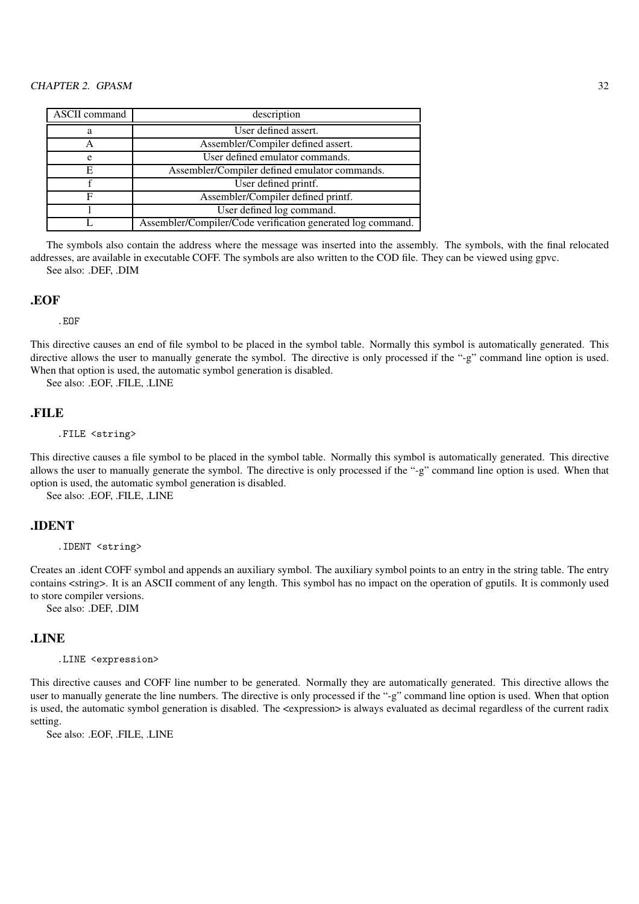| ASCII command | description                                                 |
|---------------|-------------------------------------------------------------|
| а             | User defined assert.                                        |
| Α             | Assembler/Compiler defined assert.                          |
| e             | User defined emulator commands.                             |
| E             | Assembler/Compiler defined emulator commands.               |
|               | User defined printf.                                        |
| F             | Assembler/Compiler defined printf.                          |
|               | User defined log command.                                   |
|               | Assembler/Compiler/Code verification generated log command. |

The symbols also contain the address where the message was inserted into the assembly. The symbols, with the final relocated addresses, are available in executable COFF. The symbols are also written to the COD file. They can be viewed using gpvc. See also: .DEF, .DIM

### .EOF

.EOF

This directive causes an end of file symbol to be placed in the symbol table. Normally this symbol is automatically generated. This directive allows the user to manually generate the symbol. The directive is only processed if the "-g" command line option is used. When that option is used, the automatic symbol generation is disabled.

See also: .EOF, .FILE, .LINE

## .FILE

.FILE <string>

This directive causes a file symbol to be placed in the symbol table. Normally this symbol is automatically generated. This directive allows the user to manually generate the symbol. The directive is only processed if the "-g" command line option is used. When that option is used, the automatic symbol generation is disabled.

See also: .EOF, .FILE, .LINE

#### .IDENT

.IDENT <string>

Creates an .ident COFF symbol and appends an auxiliary symbol. The auxiliary symbol points to an entry in the string table. The entry contains <string>. It is an ASCII comment of any length. This symbol has no impact on the operation of gputils. It is commonly used to store compiler versions.

See also: .DEF, .DIM

#### .LINE

.LINE <expression>

This directive causes and COFF line number to be generated. Normally they are automatically generated. This directive allows the user to manually generate the line numbers. The directive is only processed if the "-g" command line option is used. When that option is used, the automatic symbol generation is disabled. The <expression> is always evaluated as decimal regardless of the current radix setting.

See also: .EOF, .FILE, .LINE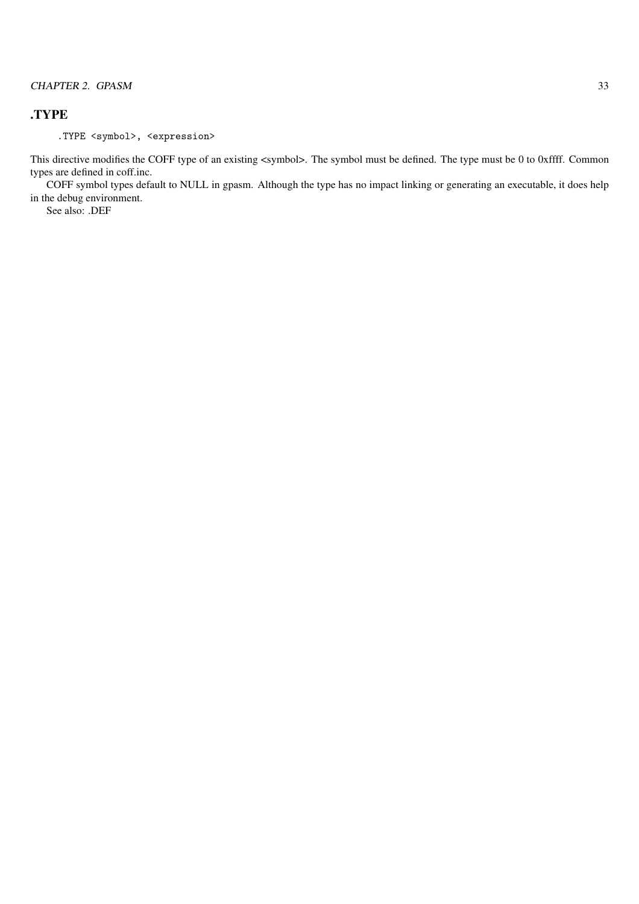# .TYPE

.TYPE <symbol>, <expression>

This directive modifies the COFF type of an existing <symbol>. The symbol must be defined. The type must be 0 to 0xffff. Common types are defined in coff.inc.

COFF symbol types default to NULL in gpasm. Although the type has no impact linking or generating an executable, it does help in the debug environment.

See also: .DEF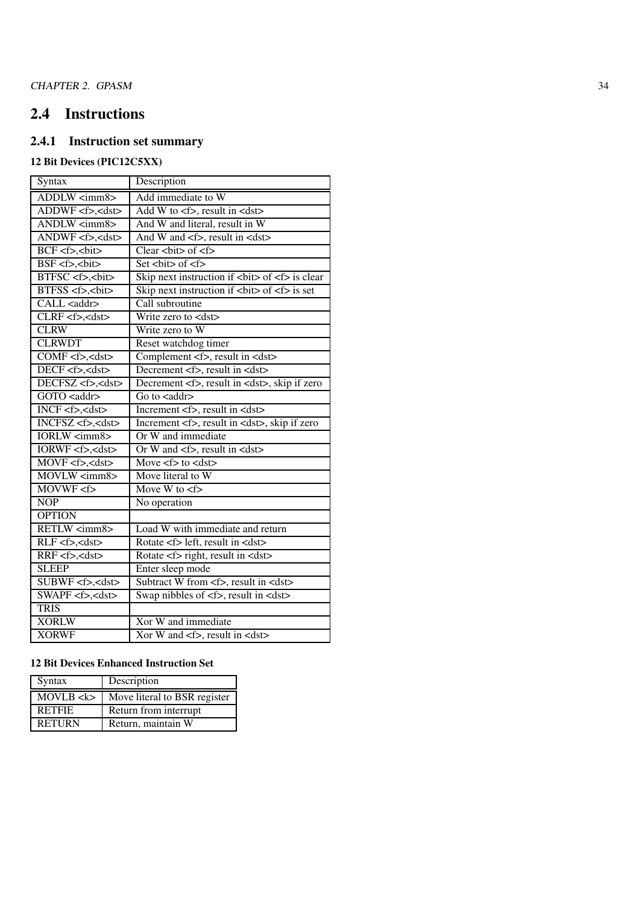# 2.4 Instructions

# 2.4.1 Instruction set summary

# 12 Bit Devices (PIC12C5XX)

| Syntax                     | Description                                            |
|----------------------------|--------------------------------------------------------|
| ADDLW <imm8></imm8>        | Add immediate to W                                     |
| ADDWF <f>,<dst></dst></f>  | Add W to $\lt f$ , result in $\lt d$ st $>$            |
| ANDLW <imm8></imm8>        | And W and literal, result in W                         |
| ANDWF <f>,<dst></dst></f>  | And W and <f>, result in <dst></dst></f>               |
| BCF <f>,<br/>bit&gt;</f>   | Clear $\text{chit}$ of $\text{cf}$                     |
| $BSF < f >$ , $bit$        | Set $bit$ of $5$                                       |
| BTFSC <f>,<br/>bit&gt;</f> | Skip next instruction if $i > bi o f h i j j$          |
| BTFSS <f>,<bit></bit></f>  | Skip next instruction if $i > o$ is set                |
| CALL <addr></addr>         | Call subroutine                                        |
| $CLRF < f > <$ dst>        | Write zero to <dst></dst>                              |
| <b>CLRW</b>                | Write zero to W                                        |
| <b>CLRWDT</b>              | Reset watchdog timer                                   |
| COMF <f>,<dst></dst></f>   | Complement $\lt f$ , result in $\lt d$ st>             |
| DECF <f>,<dst></dst></f>   | Decrement <f>, result in <dst></dst></f>               |
| DECFSZ <f>,<dst></dst></f> | Decrement <f>, result in <dst>, skip if zero</dst></f> |
| GOTO <addr></addr>         | Go to $\langle \text{addr}\rangle$                     |
| INCF <f>,<dst></dst></f>   | Increment <f>, result in <dst></dst></f>               |
| INCFSZ <f>,<dst></dst></f> | Increment <f>, result in <dst>, skip if zero</dst></f> |
| <b>IORLW</b> <imm8></imm8> | Or W and immediate                                     |
| IORWF <f>,<dst></dst></f>  | Or W and $\leq$ >, result in $\leq$ dst>               |
| MOVF <f>,<dst></dst></f>   | Move $\lt f$ to $\lt d$ st                             |
| MOVLW <imm8></imm8>        | Move literal to W                                      |
| $MOWWF \le f$              | Move W to $\lt$ f>                                     |
| NOP                        | No operation                                           |
| <b>OPTION</b>              |                                                        |
| RETLW <imm8></imm8>        | Load W with immediate and return                       |
| $RLF < f >$ , <dst></dst>  | Rotate <f> left, result in <dst></dst></f>             |
| $RRF < f >$ , <dst></dst>  | Rotate <f> right, result in <dst></dst></f>            |
| <b>SLEEP</b>               | Enter sleep mode                                       |
| SUBWF <f>,<dst></dst></f>  | Subtract W from <f>, result in <dst></dst></f>         |
| SWAPF <f>,<dst></dst></f>  | Swap nibbles of <f>, result in <dst></dst></f>         |
| <b>TRIS</b>                |                                                        |
| <b>XORLW</b>               | Xor W and immediate                                    |
| <b>XORWF</b>               | Xor W and $\leq f$ , result in $\leq$ dst>             |

# 12 Bit Devices Enhanced Instruction Set

| Syntax        | Description                  |
|---------------|------------------------------|
| MOVLB < k     | Move literal to BSR register |
| <b>RETFIE</b> | Return from interrupt        |
| <b>RETURN</b> | Return, maintain W           |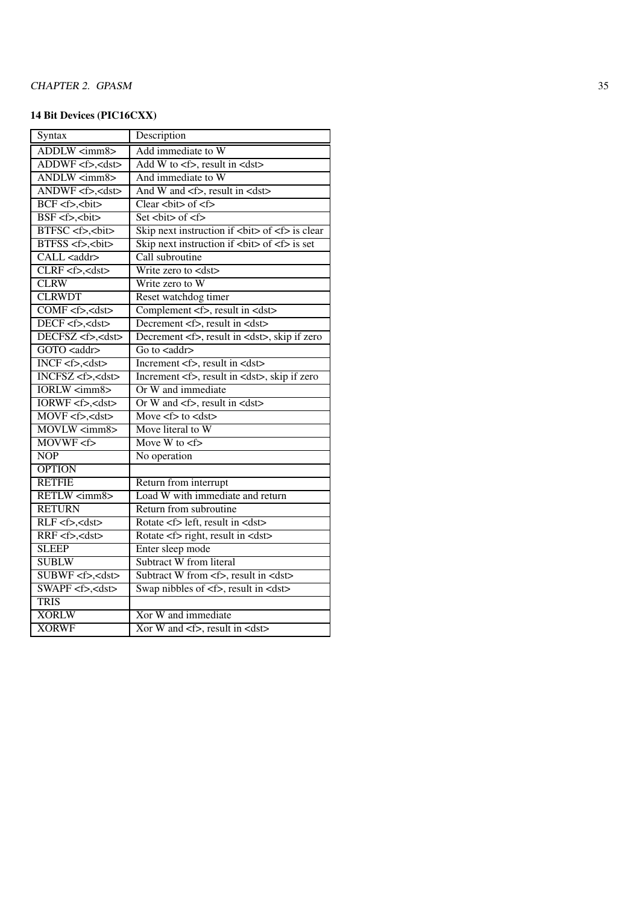# 14 Bit Devices (PIC16CXX)

| Description                                            |
|--------------------------------------------------------|
| Add immediate to W                                     |
| Add W to $\lt f$ , result in $\lt d$ st $>$            |
| And immediate to W                                     |
| And W and <f>, result in <dst></dst></f>               |
| Clear<br><br>bit> of <f></f>                           |
| Set $bit$ of $5$                                       |
| Skip next instruction if $bit$ of $5$ is clear         |
| Skip next instruction if<br><br>bit> of <f> is set</f> |
| Call subroutine                                        |
| Write zero to <dst></dst>                              |
| Write zero to W                                        |
| Reset watchdog timer                                   |
| Complement <f>, result in <dst></dst></f>              |
| Decrement <f>, result in <dst></dst></f>               |
| Decrement <f>, result in <dst>, skip if zero</dst></f> |
| Go to $\langle \text{addr}\rangle$                     |
| Increment <f>, result in <dst></dst></f>               |
| Increment <f>, result in <dst>, skip if zero</dst></f> |
| Or W and immediate                                     |
| Or W and $\leq f$ , result in $\leq$ dst>              |
| Move $\leq f$ to $\leq$ dst                            |
| Move literal to W                                      |
| Move W to $\lt f$                                      |
| No operation                                           |
|                                                        |
| Return from interrupt                                  |
| Load W with immediate and return                       |
| Return from subroutine                                 |
| Rotate <f> left, result in <dst></dst></f>             |
| Rotate <f> right, result in <dst></dst></f>            |
| Enter sleep mode                                       |
| Subtract W from literal                                |
| Subtract W from <f>, result in <dst></dst></f>         |
| Swap nibbles of <f>, result in <dst></dst></f>         |
|                                                        |
| Xor W and immediate                                    |
| Xor W and <f>, result in <dst></dst></f>               |
|                                                        |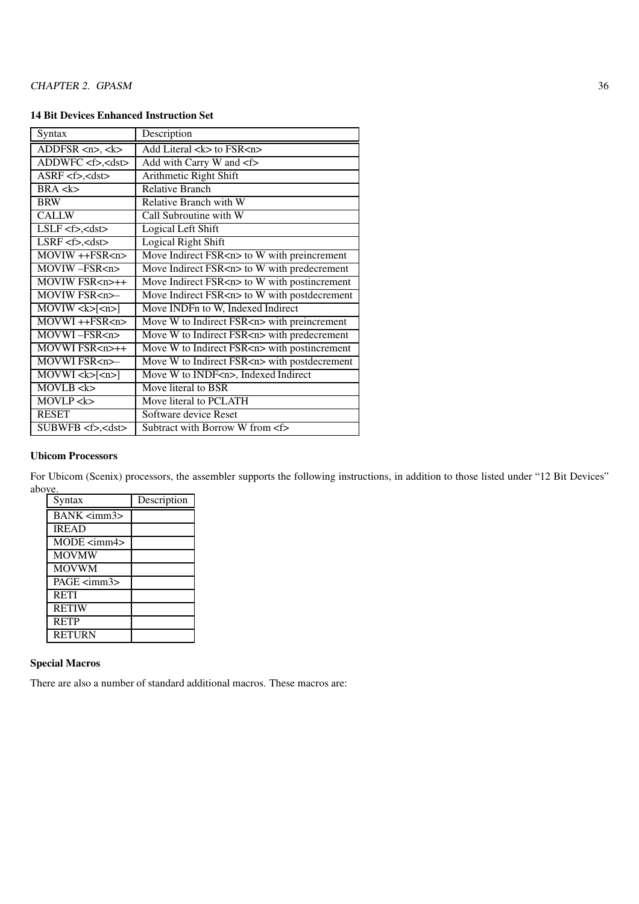## 14 Bit Devices Enhanced Instruction Set

| Syntax                                           | Description                                       |
|--------------------------------------------------|---------------------------------------------------|
| ADDFSR $\langle n \rangle$ , $\langle k \rangle$ | Add Literal <k> to FSR<n></n></k>                 |
| ADDWFC <f>,<dst></dst></f>                       | Add with Carry W and <f></f>                      |
| $ASRF < f > , <$ dst $>$                         | Arithmetic Right Shift                            |
| BRA < k>                                         | <b>Relative Branch</b>                            |
| <b>BRW</b>                                       | Relative Branch with W                            |
| <b>CALLW</b>                                     | Call Subroutine with W                            |
| $LSLF < f > , <$ dst $>$                         | Logical Left Shift                                |
| $LSRF < f > , <$ dst $>$                         | <b>Logical Right Shift</b>                        |
| $MOVIW + +FSR < n$                               | Move Indirect FSR <n> to W with preincrement</n>  |
| MOVIW-FSR <n></n>                                | Move Indirect FSR <n> to W with predecrement</n>  |
| $\overline{M}$ OVIW FSR <n>++</n>                | Move Indirect FSR <n> to W with postincrement</n> |
| MOVIW FSR <n>-</n>                               | Move Indirect FSR <n> to W with postdecrement</n> |
| $\overline{\text{MOVIW}}$ < k > $\text{[-n]}$    | Move INDFn to W, Indexed Indirect                 |
| $MOVWI$ ++ $FSR$ <n></n>                         | Move W to Indirect FSR <n> with preincrement</n>  |
| MOVWI-FSR <n></n>                                | Move W to Indirect FSR <n> with predecrement</n>  |
| MOVWI FSR <n>++</n>                              | Move W to Indirect FSR <n> with postincrement</n> |
| MOVWI FSR <n>-</n>                               | Move W to Indirect FSR <n> with postdecrement</n> |
| $MOWU \lt k >   \lt n >  $                       | Move W to INDF <n>, Indexed Indirect</n>          |
| MOVLB < k                                        | Move literal to BSR                               |
| MOVLP <k></k>                                    | Move literal to PCLATH                            |
| <b>RESET</b>                                     | Software device Reset                             |
| $SUBWFB < f > , <$ dst $>$                       | Subtract with Borrow W from <f></f>               |

#### Ubicom Processors

For Ubicom (Scenix) processors, the assembler supports the following instructions, in addition to those listed under "12 Bit Devices" abo<u>ve.</u>  $\overline{\phantom{0}}$ 

| Syntax             | Description |
|--------------------|-------------|
| BANK <imm3></imm3> |             |
| <b>IREAD</b>       |             |
| MODE <imm4></imm4> |             |
| <b>MOVMW</b>       |             |
| <b>MOVWM</b>       |             |
| $PAGE <$ imm $3$   |             |
| <b>RETI</b>        |             |
| <b>RETIW</b>       |             |
| <b>RETP</b>        |             |
| <b>RETURN</b>      |             |

### Special Macros

There are also a number of standard additional macros. These macros are: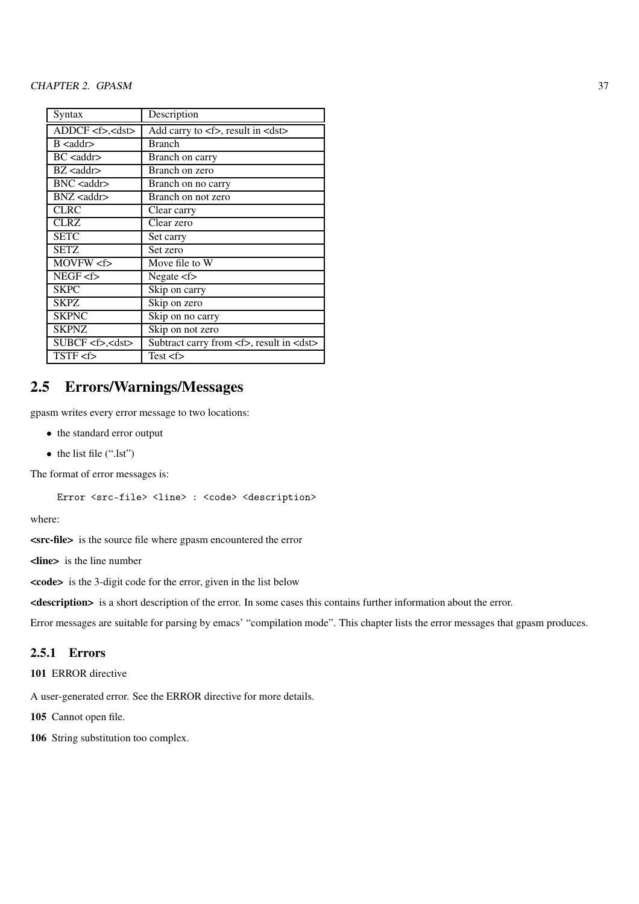| Syntax                    | Description                                        |
|---------------------------|----------------------------------------------------|
| ADDCF < f > cds           | Add carry to <f>, result in <dst></dst></f>        |
| $B$ <addr></addr>         | <b>Branch</b>                                      |
| $BC <$ addr $>$           | Branch on carry                                    |
| $BZ <$ addr $>$           | Branch on zero                                     |
| $BNC <$ addr $>$          | Branch on no carry                                 |
| $BNZ <$ addr $>$          | Branch on not zero                                 |
| <b>CLRC</b>               | Clear carry                                        |
| <b>CLRZ</b>               | Clear zero                                         |
| <b>SETC</b>               | Set carry                                          |
| <b>SETZ</b>               | Set zero                                           |
| MOVFW <f></f>             | Move file to W                                     |
| NEGF < f                  | Negate $\leq f$                                    |
| <b>SKPC</b>               | Skip on carry                                      |
| SKPZ.                     | Skip on zero                                       |
| <b>SKPNC</b>              | Skip on no carry                                   |
| <b>SKPNZ</b>              | Skip on not zero                                   |
| SUBCF <f>,<dst></dst></f> | Subtract carry from <f>, result in <dst></dst></f> |
| $TSTF \text{  }$          | Test < f                                           |

# 2.5 Errors/Warnings/Messages

gpasm writes every error message to two locations:

- the standard error output
- the list file (".lst")

The format of error messages is:

Error <src-file> <line> : <code> <description>

where:

<src-file> is the source file where gpasm encountered the error

<line> is the line number

 $\langle \text{code} \rangle$  is the 3-digit code for the error, given in the list below

<description> is a short description of the error. In some cases this contains further information about the error.

Error messages are suitable for parsing by emacs' "compilation mode". This chapter lists the error messages that gpasm produces.

# 2.5.1 Errors

101 ERROR directive

A user-generated error. See the ERROR directive for more details.

105 Cannot open file.

106 String substitution too complex.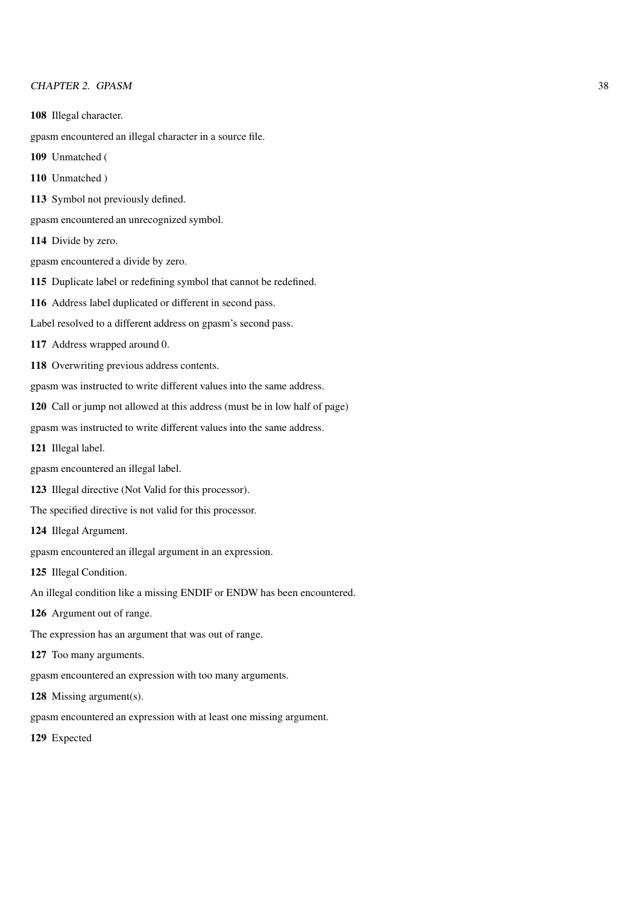- 108 Illegal character.
- gpasm encountered an illegal character in a source file.
- 109 Unmatched (
- 110 Unmatched )
- 113 Symbol not previously defined.

gpasm encountered an unrecognized symbol.

- 114 Divide by zero.
- gpasm encountered a divide by zero.
- 115 Duplicate label or redefining symbol that cannot be redefined.
- 116 Address label duplicated or different in second pass.
- Label resolved to a different address on gpasm's second pass.
- 117 Address wrapped around 0.
- 118 Overwriting previous address contents.
- gpasm was instructed to write different values into the same address.
- 120 Call or jump not allowed at this address (must be in low half of page)
- gpasm was instructed to write different values into the same address.
- 121 Illegal label.
- gpasm encountered an illegal label.
- 123 Illegal directive (Not Valid for this processor).
- The specified directive is not valid for this processor.
- 124 Illegal Argument.
- gpasm encountered an illegal argument in an expression.
- 125 Illegal Condition.
- An illegal condition like a missing ENDIF or ENDW has been encountered.
- 126 Argument out of range.
- The expression has an argument that was out of range.
- 127 Too many arguments.
- gpasm encountered an expression with too many arguments.
- 128 Missing argument(s).
- gpasm encountered an expression with at least one missing argument.
- 129 Expected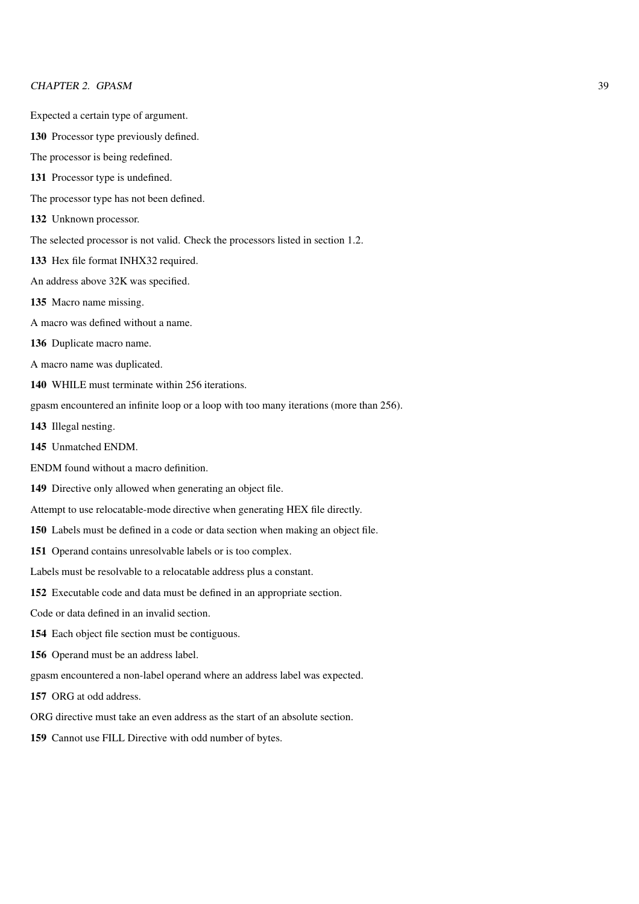- Expected a certain type of argument.
- 130 Processor type previously defined.
- The processor is being redefined.
- 131 Processor type is undefined.
- The processor type has not been defined.
- 132 Unknown processor.
- The selected processor is not valid. Check the processors listed in section 1.2.
- 133 Hex file format INHX32 required.
- An address above 32K was specified.
- 135 Macro name missing.
- A macro was defined without a name.
- 136 Duplicate macro name.
- A macro name was duplicated.
- 140 WHILE must terminate within 256 iterations.
- gpasm encountered an infinite loop or a loop with too many iterations (more than 256).
- 143 Illegal nesting.
- 145 Unmatched ENDM.
- ENDM found without a macro definition.
- 149 Directive only allowed when generating an object file.
- Attempt to use relocatable-mode directive when generating HEX file directly.
- 150 Labels must be defined in a code or data section when making an object file.
- 151 Operand contains unresolvable labels or is too complex.
- Labels must be resolvable to a relocatable address plus a constant.
- 152 Executable code and data must be defined in an appropriate section.
- Code or data defined in an invalid section.
- 154 Each object file section must be contiguous.
- 156 Operand must be an address label.
- gpasm encountered a non-label operand where an address label was expected.
- 157 ORG at odd address.
- ORG directive must take an even address as the start of an absolute section.
- 159 Cannot use FILL Directive with odd number of bytes.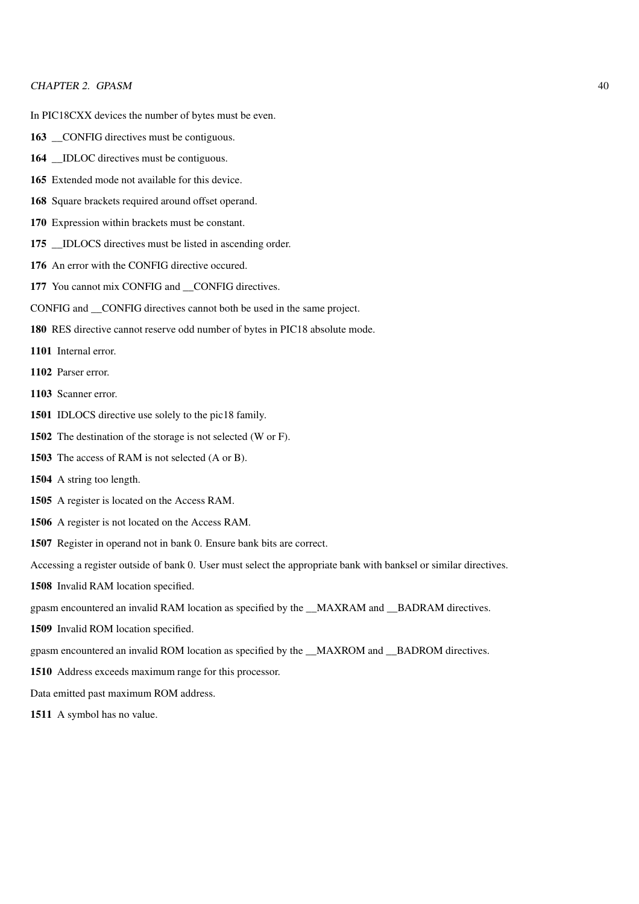In PIC18CXX devices the number of bytes must be even.

- 163 \_CONFIG directives must be contiguous.
- **IDLOC** directives must be contiguous.
- Extended mode not available for this device.
- Square brackets required around offset operand.
- Expression within brackets must be constant.
- 175 \_\_IDLOCS directives must be listed in ascending order.
- An error with the CONFIG directive occured.
- You cannot mix CONFIG and \_\_CONFIG directives.
- CONFIG and \_\_CONFIG directives cannot both be used in the same project.
- RES directive cannot reserve odd number of bytes in PIC18 absolute mode.
- Internal error.
- Parser error.
- Scanner error.
- IDLOCS directive use solely to the pic18 family.
- The destination of the storage is not selected (W or F).
- The access of RAM is not selected (A or B).
- A string too length.
- A register is located on the Access RAM.
- A register is not located on the Access RAM.
- Register in operand not in bank 0. Ensure bank bits are correct.
- Accessing a register outside of bank 0. User must select the appropriate bank with banksel or similar directives.
- Invalid RAM location specified.
- gpasm encountered an invalid RAM location as specified by the \_\_MAXRAM and \_\_BADRAM directives.
- Invalid ROM location specified.
- gpasm encountered an invalid ROM location as specified by the \_\_MAXROM and \_\_BADROM directives.
- Address exceeds maximum range for this processor.
- Data emitted past maximum ROM address.
- A symbol has no value.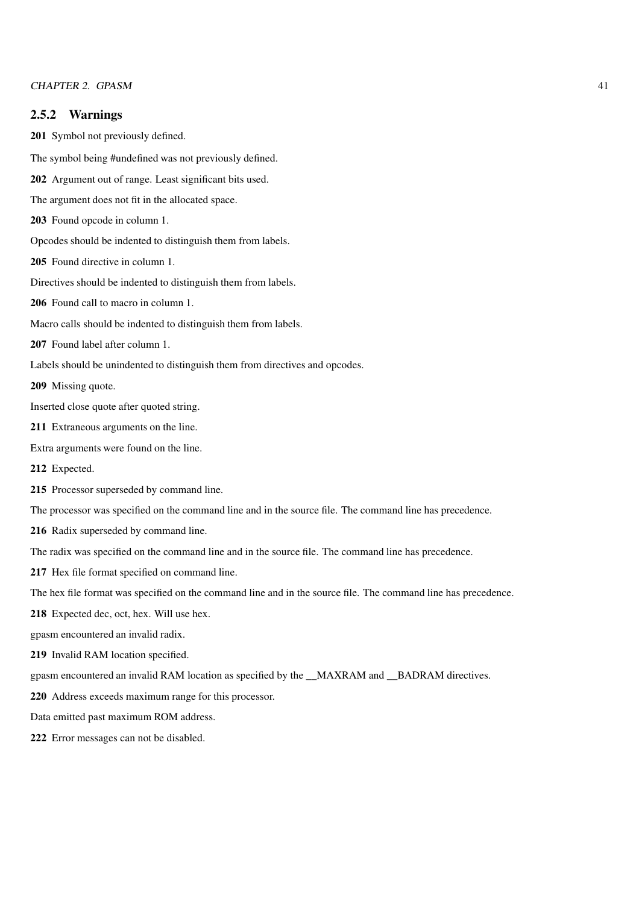#### 2.5.2 Warnings

201 Symbol not previously defined.

The symbol being #undefined was not previously defined.

202 Argument out of range. Least significant bits used.

The argument does not fit in the allocated space.

203 Found opcode in column 1.

Opcodes should be indented to distinguish them from labels.

205 Found directive in column 1.

Directives should be indented to distinguish them from labels.

206 Found call to macro in column 1.

Macro calls should be indented to distinguish them from labels.

```
207 Found label after column 1.
```
Labels should be unindented to distinguish them from directives and opcodes.

209 Missing quote.

Inserted close quote after quoted string.

- 211 Extraneous arguments on the line.
- Extra arguments were found on the line.
- 212 Expected.
- 215 Processor superseded by command line.

The processor was specified on the command line and in the source file. The command line has precedence.

216 Radix superseded by command line.

The radix was specified on the command line and in the source file. The command line has precedence.

217 Hex file format specified on command line.

The hex file format was specified on the command line and in the source file. The command line has precedence.

218 Expected dec, oct, hex. Will use hex.

gpasm encountered an invalid radix.

219 Invalid RAM location specified.

gpasm encountered an invalid RAM location as specified by the \_\_MAXRAM and \_\_BADRAM directives.

220 Address exceeds maximum range for this processor.

Data emitted past maximum ROM address.

222 Error messages can not be disabled.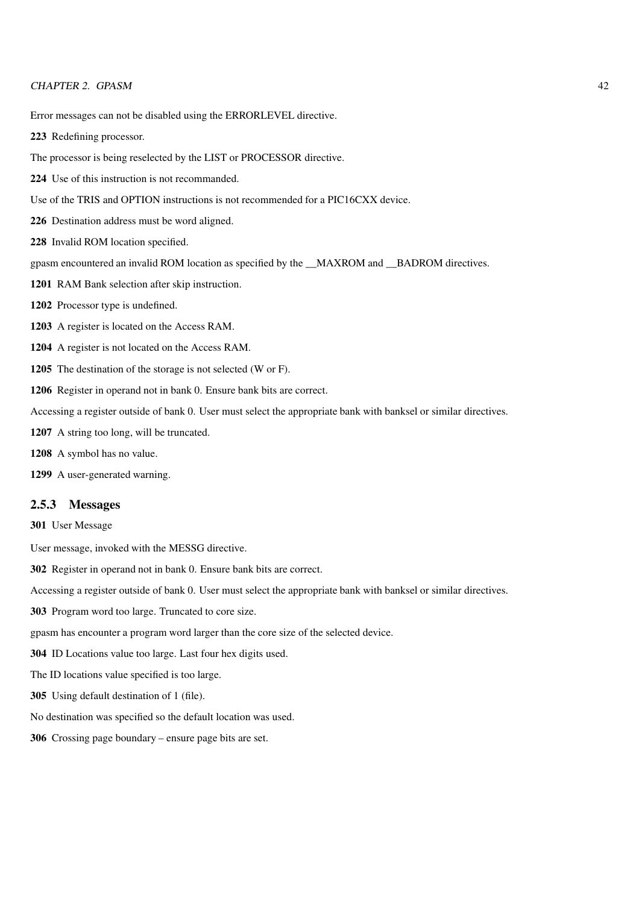Error messages can not be disabled using the ERRORLEVEL directive.

Redefining processor.

The processor is being reselected by the LIST or PROCESSOR directive.

- Use of this instruction is not recommanded.
- Use of the TRIS and OPTION instructions is not recommended for a PIC16CXX device.
- Destination address must be word aligned.
- Invalid ROM location specified.
- gpasm encountered an invalid ROM location as specified by the \_\_MAXROM and \_\_BADROM directives.
- RAM Bank selection after skip instruction.
- Processor type is undefined.
- A register is located on the Access RAM.
- A register is not located on the Access RAM.
- The destination of the storage is not selected (W or F).
- Register in operand not in bank 0. Ensure bank bits are correct.
- Accessing a register outside of bank 0. User must select the appropriate bank with banksel or similar directives.
- A string too long, will be truncated.
- A symbol has no value.
- A user-generated warning.

#### 2.5.3 Messages

User Message

- User message, invoked with the MESSG directive.
- Register in operand not in bank 0. Ensure bank bits are correct.
- Accessing a register outside of bank 0. User must select the appropriate bank with banksel or similar directives.
- Program word too large. Truncated to core size.
- gpasm has encounter a program word larger than the core size of the selected device.
- ID Locations value too large. Last four hex digits used.
- The ID locations value specified is too large.
- Using default destination of 1 (file).
- No destination was specified so the default location was used.
- Crossing page boundary ensure page bits are set.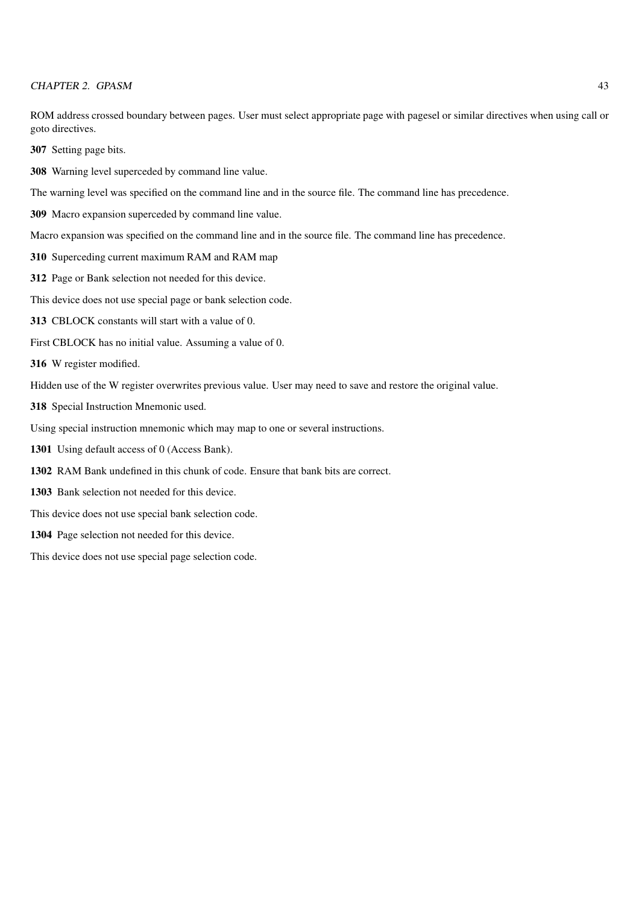ROM address crossed boundary between pages. User must select appropriate page with pagesel or similar directives when using call or goto directives.

307 Setting page bits.

308 Warning level superceded by command line value.

The warning level was specified on the command line and in the source file. The command line has precedence.

309 Macro expansion superceded by command line value.

Macro expansion was specified on the command line and in the source file. The command line has precedence.

- 310 Superceding current maximum RAM and RAM map
- 312 Page or Bank selection not needed for this device.
- This device does not use special page or bank selection code.
- 313 CBLOCK constants will start with a value of 0.
- First CBLOCK has no initial value. Assuming a value of 0.
- 316 W register modified.

Hidden use of the W register overwrites previous value. User may need to save and restore the original value.

318 Special Instruction Mnemonic used.

Using special instruction mnemonic which may map to one or several instructions.

- 1301 Using default access of 0 (Access Bank).
- 1302 RAM Bank undefined in this chunk of code. Ensure that bank bits are correct.
- 1303 Bank selection not needed for this device.
- This device does not use special bank selection code.
- 1304 Page selection not needed for this device.

This device does not use special page selection code.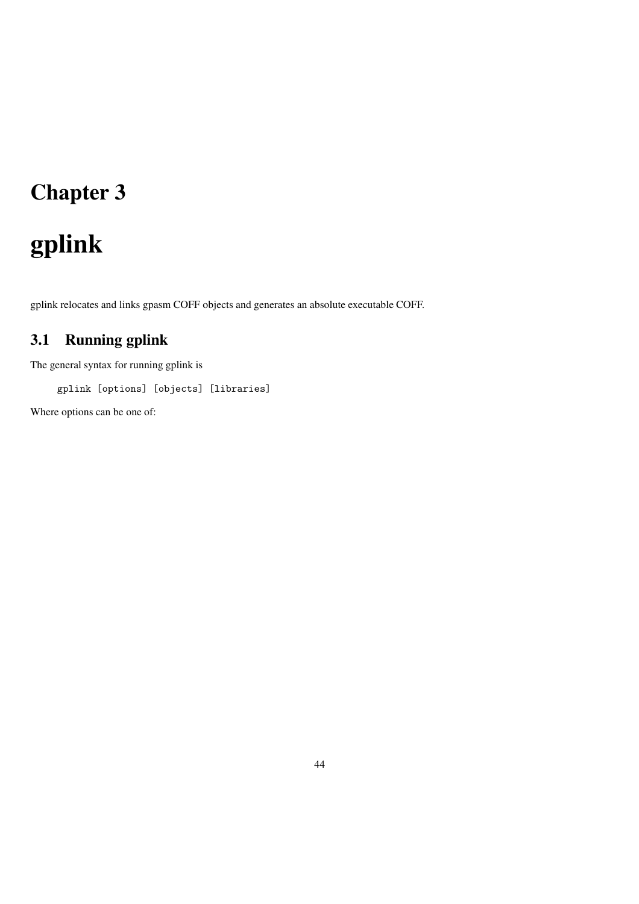# Chapter 3

# gplink

gplink relocates and links gpasm COFF objects and generates an absolute executable COFF.

# 3.1 Running gplink

The general syntax for running gplink is

gplink [options] [objects] [libraries]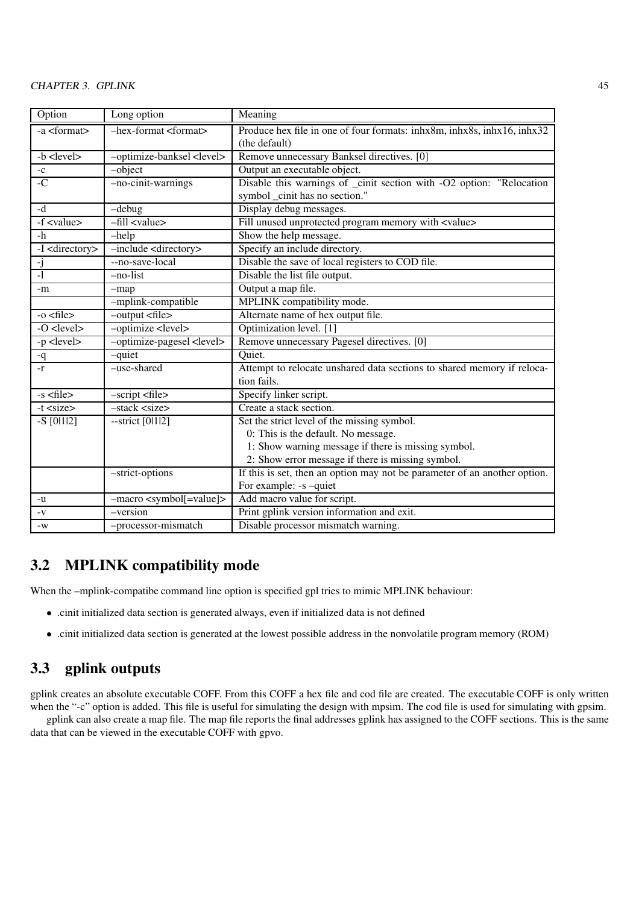#### CHAPTER 3. GPLINK 45

| Option                          | Long option                              | Meaning                                                                   |
|---------------------------------|------------------------------------------|---------------------------------------------------------------------------|
| -a <format></format>            | $-$ hex-format <format></format>         | Produce hex file in one of four formats: inhx8m, inhx8s, inhx16, inhx32   |
|                                 |                                          | (the default)                                                             |
| -b <level></level>              | -optimize-banksel <level></level>        | Remove unnecessary Banksel directives. [0]                                |
| $-c$                            | $-object$                                | Output an executable object.                                              |
| $-C$                            | -no-cinit-warnings                       | Disable this warnings of _cinit section with -O2 option: "Relocation      |
|                                 |                                          | symbol _cinit has no section."                                            |
| $-d$                            | $-debug$                                 | Display debug messages.                                                   |
| $\overline{-f}$ <value></value> | $-fill <$ value>                         | Fill unused unprotected program memory with <value></value>               |
| $-h$                            | $-$ help                                 | Show the help message.                                                    |
| -I <directory></directory>      | -include <directory></directory>         | Specify an include directory.                                             |
| <u>-j</u>                       | --no-save-local                          | Disable the save of local registers to COD file.                          |
| $\overline{\cdot}$              | $-no-list$                               | Disable the list file output.                                             |
| -m                              | $-map$                                   | Output a map file.                                                        |
|                                 | -mplink-compatible                       | MPLINK compatibility mode.                                                |
| $-0 <$ file>                    | $-$ output $\langle$ file $\rangle$      | Alternate name of hex output file.                                        |
| $-$ O <level></level>           | -optimize <level></level>                | Optimization level. [1]                                                   |
| $-p$ <level></level>            | -optimize-pagesel <level></level>        | Remove unnecessary Pagesel directives. [0]                                |
| -q                              | -quiet                                   | Quiet.                                                                    |
| $-r$                            | -use-shared                              | Attempt to relocate unshared data sections to shared memory if reloca-    |
|                                 |                                          | tion fails.                                                               |
| $-s$ $<$ file $>$               | $-$ script $<$ file $>$                  | Specify linker script.                                                    |
| $-t <$ size $>$                 | -stack <size></size>                     | Create a stack section.                                                   |
| $-S$ [0112]                     | $-$ strict [0 $ 1 2$ ]                   | Set the strict level of the missing symbol.                               |
|                                 |                                          | 0: This is the default. No message.                                       |
|                                 |                                          | 1: Show warning message if there is missing symbol.                       |
|                                 |                                          | 2: Show error message if there is missing symbol.                         |
|                                 | -strict-options                          | If this is set, then an option may not be parameter of an another option. |
|                                 |                                          | For example: -s -quiet                                                    |
| -u                              | -macro <symbol[=value]></symbol[=value]> | Add macro value for script.                                               |
| $\mathbf{-V}$                   | -version                                 | Print gplink version information and exit.                                |
| $-W$                            | -processor-mismatch                      | Disable processor mismatch warning.                                       |

# 3.2 MPLINK compatibility mode

When the –mplink-compatibe command line option is specified gpl tries to mimic MPLINK behaviour:

- .cinit initialized data section is generated always, even if initialized data is not defined
- .cinit initialized data section is generated at the lowest possible address in the nonvolatile program memory (ROM)

# 3.3 gplink outputs

gplink creates an absolute executable COFF. From this COFF a hex file and cod file are created. The executable COFF is only written when the "-c" option is added. This file is useful for simulating the design with mpsim. The cod file is used for simulating with gpsim.

gplink can also create a map file. The map file reports the final addresses gplink has assigned to the COFF sections. This is the same data that can be viewed in the executable COFF with gpvo.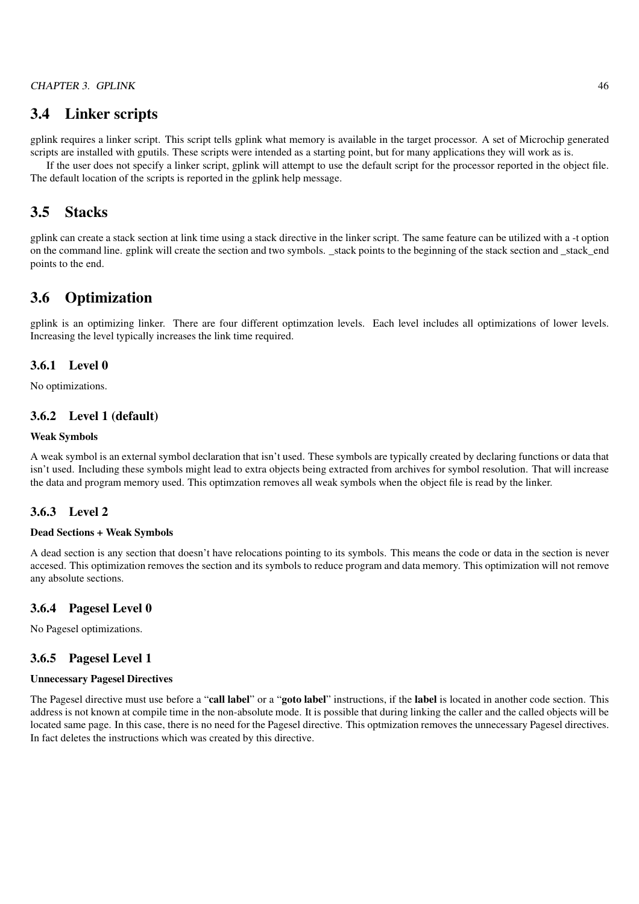# 3.4 Linker scripts

gplink requires a linker script. This script tells gplink what memory is available in the target processor. A set of Microchip generated scripts are installed with gputils. These scripts were intended as a starting point, but for many applications they will work as is.

If the user does not specify a linker script, gplink will attempt to use the default script for the processor reported in the object file. The default location of the scripts is reported in the gplink help message.

# 3.5 Stacks

gplink can create a stack section at link time using a stack directive in the linker script. The same feature can be utilized with a -t option on the command line. gplink will create the section and two symbols. \_stack points to the beginning of the stack section and \_stack\_end points to the end.

# 3.6 Optimization

gplink is an optimizing linker. There are four different optimzation levels. Each level includes all optimizations of lower levels. Increasing the level typically increases the link time required.

#### 3.6.1 Level 0

No optimizations.

#### 3.6.2 Level 1 (default)

#### Weak Symbols

A weak symbol is an external symbol declaration that isn't used. These symbols are typically created by declaring functions or data that isn't used. Including these symbols might lead to extra objects being extracted from archives for symbol resolution. That will increase the data and program memory used. This optimzation removes all weak symbols when the object file is read by the linker.

#### 3.6.3 Level 2

#### Dead Sections + Weak Symbols

A dead section is any section that doesn't have relocations pointing to its symbols. This means the code or data in the section is never accesed. This optimization removes the section and its symbols to reduce program and data memory. This optimization will not remove any absolute sections.

#### 3.6.4 Pagesel Level 0

No Pagesel optimizations.

#### 3.6.5 Pagesel Level 1

### Unnecessary Pagesel Directives

The Pagesel directive must use before a "call label" or a "goto label" instructions, if the label is located in another code section. This address is not known at compile time in the non-absolute mode. It is possible that during linking the caller and the called objects will be located same page. In this case, there is no need for the Pagesel directive. This optmization removes the unnecessary Pagesel directives. In fact deletes the instructions which was created by this directive.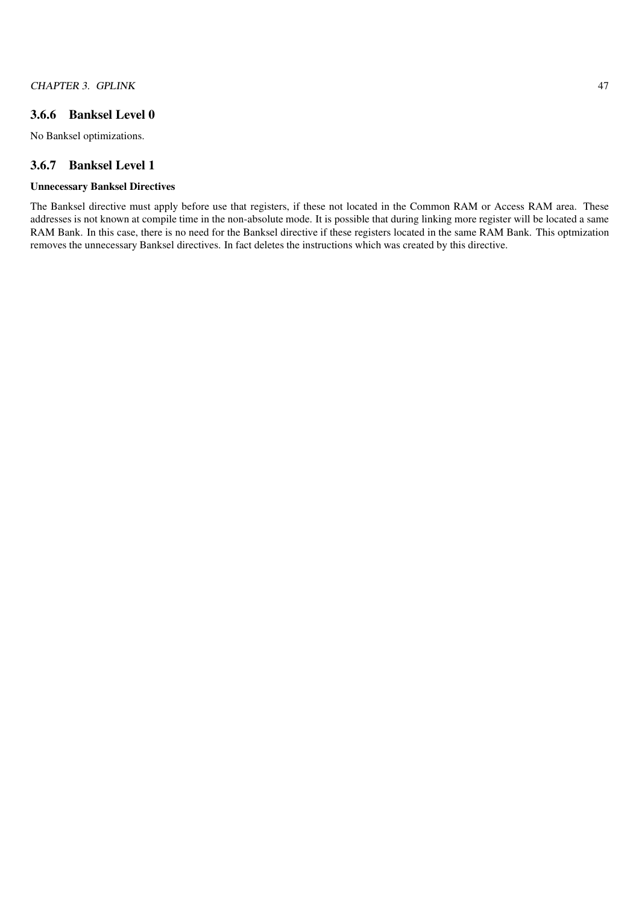# 3.6.6 Banksel Level 0

No Banksel optimizations.

#### 3.6.7 Banksel Level 1

#### Unnecessary Banksel Directives

The Banksel directive must apply before use that registers, if these not located in the Common RAM or Access RAM area. These addresses is not known at compile time in the non-absolute mode. It is possible that during linking more register will be located a same RAM Bank. In this case, there is no need for the Banksel directive if these registers located in the same RAM Bank. This optmization removes the unnecessary Banksel directives. In fact deletes the instructions which was created by this directive.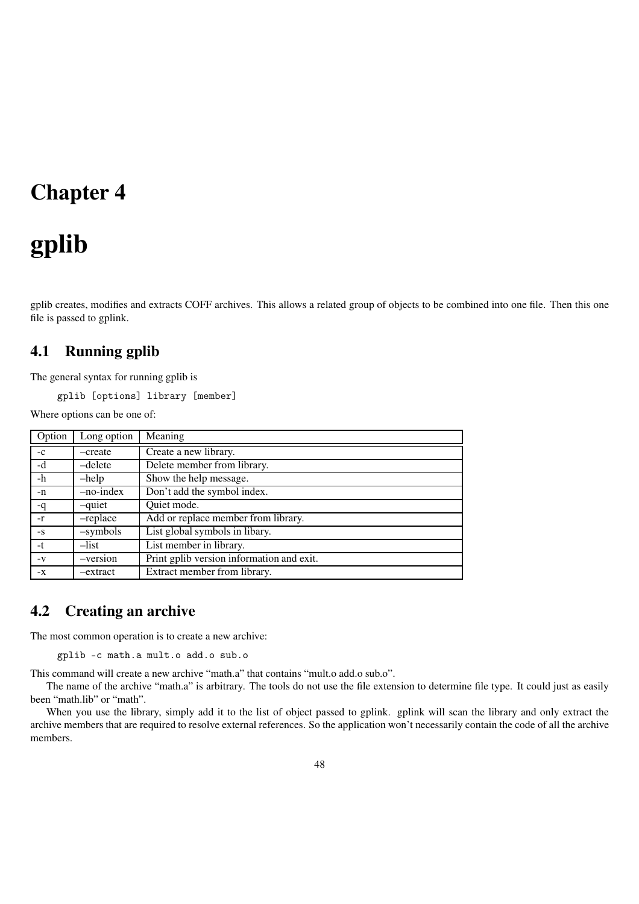# Chapter 4

# gplib

gplib creates, modifies and extracts COFF archives. This allows a related group of objects to be combined into one file. Then this one file is passed to gplink.

# 4.1 Running gplib

The general syntax for running gplib is

gplib [options] library [member]

Where options can be one of:

| Option | Long option | Meaning                                   |
|--------|-------------|-------------------------------------------|
| $-c$   | -create     | Create a new library.                     |
| -d     | $-d$ elete  | Delete member from library.               |
| $-h$   | $-$ help    | Show the help message.                    |
| $-n$   | $-no-index$ | Don't add the symbol index.               |
| -q     | -quiet      | Quiet mode.                               |
| $-r$   | -replace    | Add or replace member from library.       |
| $-S$   | $-symbols$  | List global symbols in libary.            |
| $-t$   | $-$ list    | List member in library.                   |
| $-V$   | $-version$  | Print gplib version information and exit. |
| $-X$   | -extract    | Extract member from library.              |

# 4.2 Creating an archive

The most common operation is to create a new archive:

gplib -c math.a mult.o add.o sub.o

This command will create a new archive "math.a" that contains "mult.o add.o sub.o".

The name of the archive "math.a" is arbitrary. The tools do not use the file extension to determine file type. It could just as easily been "math.lib" or "math".

When you use the library, simply add it to the list of object passed to gplink. gplink will scan the library and only extract the archive members that are required to resolve external references. So the application won't necessarily contain the code of all the archive members.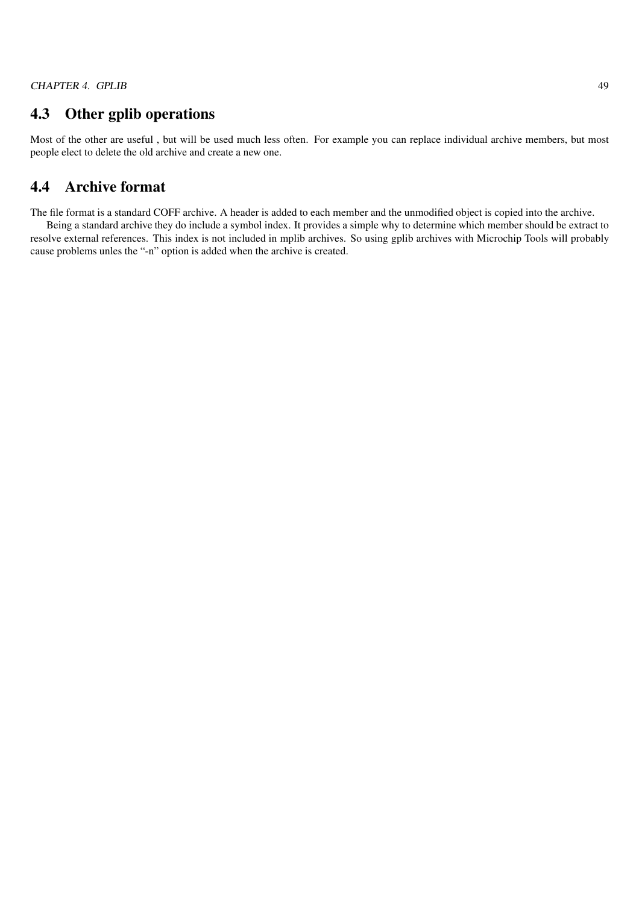# 4.3 Other gplib operations

Most of the other are useful , but will be used much less often. For example you can replace individual archive members, but most people elect to delete the old archive and create a new one.

# 4.4 Archive format

The file format is a standard COFF archive. A header is added to each member and the unmodified object is copied into the archive. Being a standard archive they do include a symbol index. It provides a simple why to determine which member should be extract to resolve external references. This index is not included in mplib archives. So using gplib archives with Microchip Tools will probably cause problems unles the "-n" option is added when the archive is created.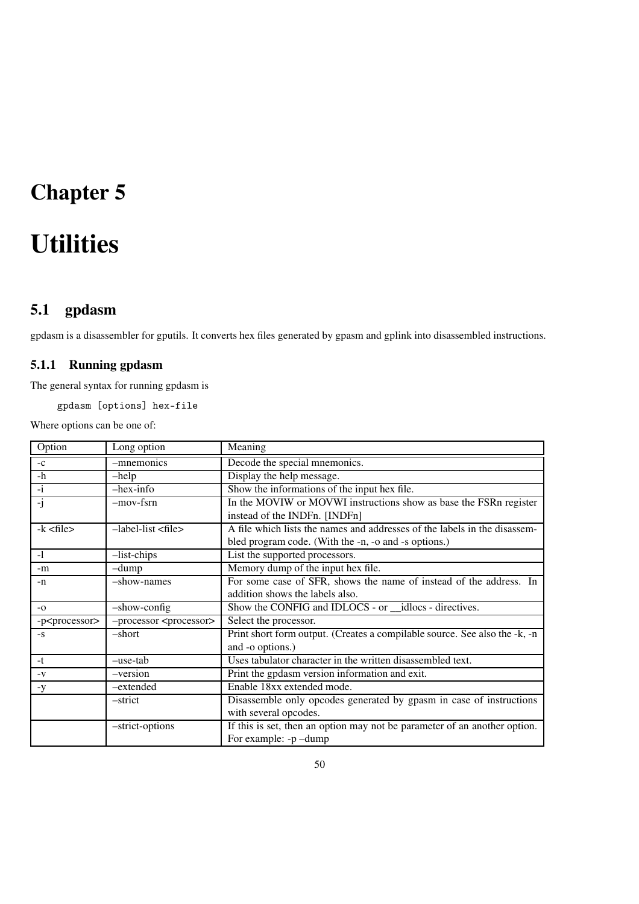# Chapter 5

# **Utilities**

# 5.1 gpdasm

gpdasm is a disassembler for gputils. It converts hex files generated by gpasm and gplink into disassembled instructions.

# 5.1.1 Running gpdasm

The general syntax for running gpdasm is

gpdasm [options] hex-file

| Option                     | Long option                             | Meaning                                                                    |
|----------------------------|-----------------------------------------|----------------------------------------------------------------------------|
| $-c$                       | -mnemonics                              | Decode the special mnemonics.                                              |
| $-h$                       | $-$ help                                | Display the help message.                                                  |
| $-i$                       | $-$ hex $-$ info                        | Show the informations of the input hex file.                               |
| -j                         | $-mov-fsrn$                             | In the MOVIW or MOVWI instructions show as base the FSRn register          |
|                            |                                         | instead of the INDFn. [INDFn]                                              |
| $-k file$                  | $-$ label-list $\langle$ file $\rangle$ | A file which lists the names and addresses of the labels in the disassem-  |
|                            |                                         | bled program code. (With the -n, -o and -s options.)                       |
| $-1$                       | $-list- chips$                          | List the supported processors.                                             |
| -m                         | $-dump$                                 | Memory dump of the input hex file.                                         |
| $-n$                       | -show-names                             | For some case of SFR, shows the name of instead of the address. In         |
|                            |                                         | addition shows the labels also.                                            |
| $-o$                       | -show-config                            | Show the CONFIG and IDLOCS - or __idlocs - directives.                     |
| -p <processor></processor> | -processor <processor></processor>      | Select the processor.                                                      |
| $-S$                       | -short                                  | Print short form output. (Creates a compilable source. See also the -k, -n |
|                            |                                         | and -o options.)                                                           |
| -t                         | $-use-tab$                              | Uses tabulator character in the written disassembled text.                 |
| $-V$                       | -version                                | Print the gpdasm version information and exit.                             |
| -y                         | -extended                               | Enable 18xx extended mode.                                                 |
|                            | -strict                                 | Disassemble only opcodes generated by gpasm in case of instructions        |
|                            |                                         | with several opcodes.                                                      |
|                            | -strict-options                         | If this is set, then an option may not be parameter of an another option.  |
|                            |                                         | For example: -p-dump                                                       |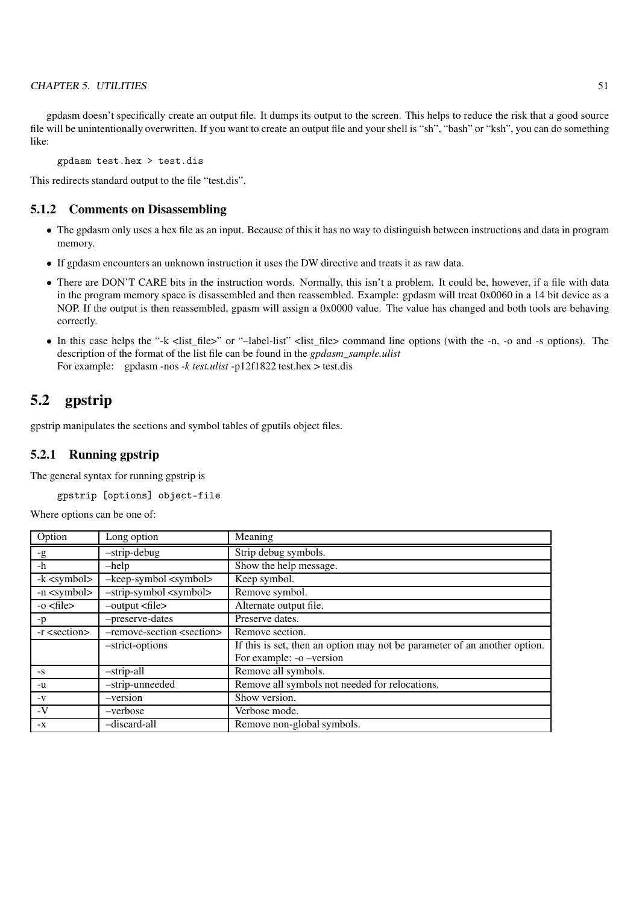#### CHAPTER 5. UTILITIES 51

gpdasm doesn't specifically create an output file. It dumps its output to the screen. This helps to reduce the risk that a good source file will be unintentionally overwritten. If you want to create an output file and your shell is "sh", "bash" or "ksh", you can do something like:

gpdasm test.hex > test.dis

This redirects standard output to the file "test.dis".

### 5.1.2 Comments on Disassembling

- The gpdasm only uses a hex file as an input. Because of this it has no way to distinguish between instructions and data in program memory.
- If gpdasm encounters an unknown instruction it uses the DW directive and treats it as raw data.
- There are DON'T CARE bits in the instruction words. Normally, this isn't a problem. It could be, however, if a file with data in the program memory space is disassembled and then reassembled. Example: gpdasm will treat 0x0060 in a 14 bit device as a NOP. If the output is then reassembled, gpasm will assign a 0x0000 value. The value has changed and both tools are behaving correctly.
- In this case helps the "-k <list\_file>" or "–label-list" <list\_file> command line options (with the -n, -o and -s options). The description of the format of the list file can be found in the *gpdasm\_sample.ulist* For example: gpdasm -nos *-k test.ulist* -p12f1822 test.hex > test.dis

# 5.2 gpstrip

gpstrip manipulates the sections and symbol tables of gputils object files.

## 5.2.1 Running gpstrip

The general syntax for running gpstrip is

gpstrip [options] object-file

| Option                 | Long option                                 | Meaning                                                                   |
|------------------------|---------------------------------------------|---------------------------------------------------------------------------|
| $-g$                   | $-$ strip-debug                             | Strip debug symbols.                                                      |
| -h                     | -help                                       | Show the help message.                                                    |
| $-k \le$ symbol $>$    | $-keep-symbol symbol$                       | Keep symbol.                                                              |
| $-n 2$                 | $-$ strip-symbol $\langle$ symbol $\rangle$ | Remove symbol.                                                            |
| $-0$ $\leq$ file $>$   | $-$ output $\langle$ file $\rangle$         | Alternate output file.                                                    |
| $-p$                   | -preserve-dates                             | Preserve dates.                                                           |
| -r <section></section> | -remove-section <section></section>         | Remove section.                                                           |
|                        | -strict-options                             | If this is set, then an option may not be parameter of an another option. |
|                        |                                             | For example: -o -version                                                  |
| $-S$                   | $-$ strip-all                               | Remove all symbols.                                                       |
| -u                     | -strip-unneeded                             | Remove all symbols not needed for relocations.                            |
| $-V$                   | -version                                    | Show version.                                                             |
| $-V$                   | -verbose                                    | Verbose mode.                                                             |
| $-X$                   | -discard-all                                | Remove non-global symbols.                                                |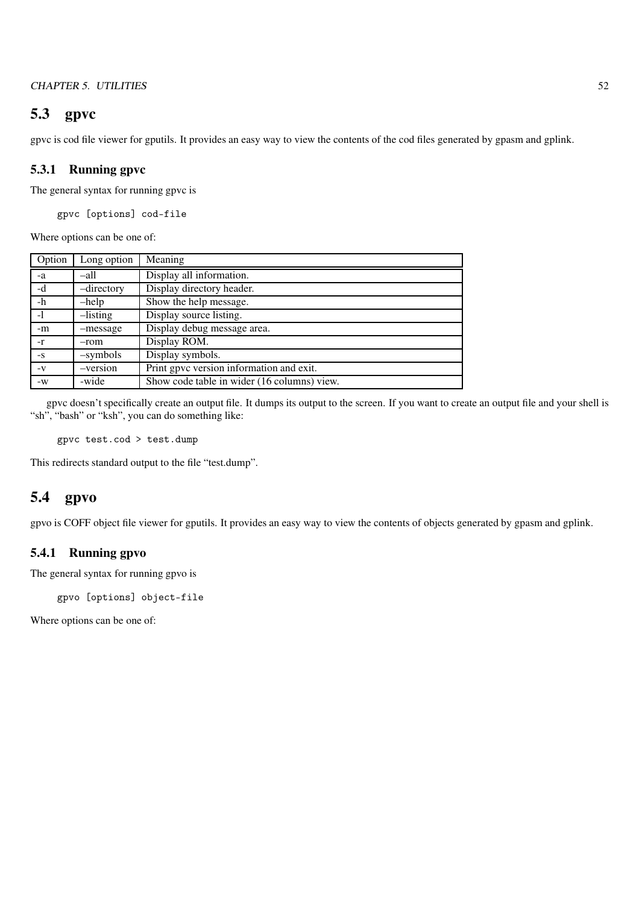## CHAPTER 5. UTILITIES 52

# 5.3 gpvc

gpvc is cod file viewer for gputils. It provides an easy way to view the contents of the cod files generated by gpasm and gplink.

# 5.3.1 Running gpvc

The general syntax for running gpvc is

gpvc [options] cod-file

Where options can be one of:

| Option | Long option    | Meaning                                     |
|--------|----------------|---------------------------------------------|
| -a     | –all           | Display all information.                    |
| -d     | -directory     | Display directory header.                   |
| $-h$   | $-\text{help}$ | Show the help message.                      |
| $-1$   | $-$ listing    | Display source listing.                     |
| -m     | -message       | Display debug message area.                 |
| $-r$   | -rom           | Display ROM.                                |
| $-S$   | -symbols       | Display symbols.                            |
| $-V$   | -version       | Print gpvc version information and exit.    |
| $-W$   | -wide          | Show code table in wider (16 columns) view. |

gpvc doesn't specifically create an output file. It dumps its output to the screen. If you want to create an output file and your shell is "sh", "bash" or "ksh", you can do something like:

gpvc test.cod > test.dump

This redirects standard output to the file "test.dump".

# 5.4 gpvo

gpvo is COFF object file viewer for gputils. It provides an easy way to view the contents of objects generated by gpasm and gplink.

# 5.4.1 Running gpvo

The general syntax for running gpvo is

gpvo [options] object-file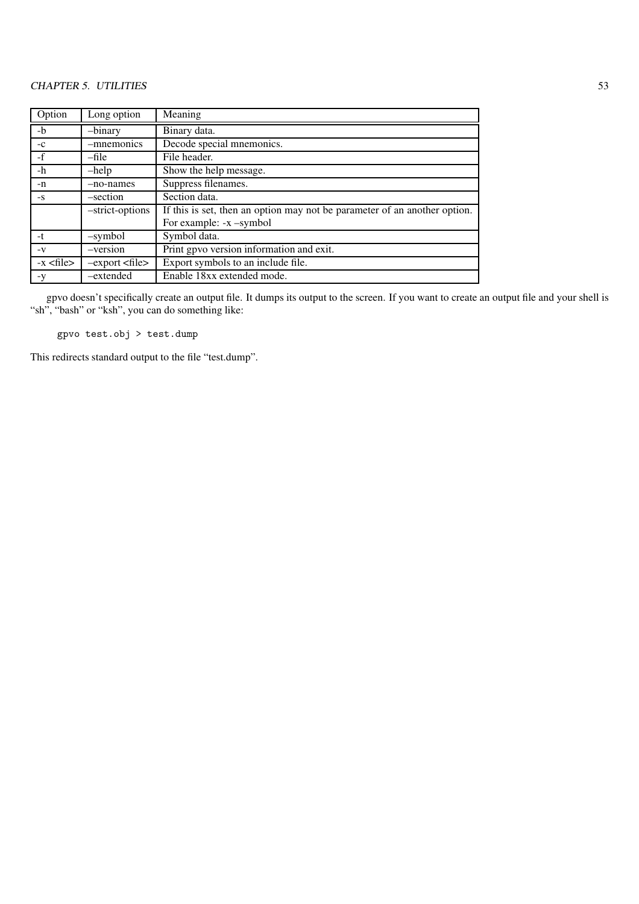| Option                        | Long option       | Meaning                                                                   |
|-------------------------------|-------------------|---------------------------------------------------------------------------|
| $-b$                          | -binary           | Binary data.                                                              |
| $-c$                          | -mnemonics        | Decode special mnemonics.                                                 |
| $-f$                          | -file             | File header.                                                              |
| $-h$                          | $-$ help          | Show the help message.                                                    |
| -n                            | -no-names         | Suppress filenames.                                                       |
| $-S$                          | -section          | Section data.                                                             |
|                               | -strict-options   | If this is set, then an option may not be parameter of an another option. |
|                               |                   | For example: -x -symbol                                                   |
| $-t$                          | -symbol           | Symbol data.                                                              |
| $-V$                          | -version          | Print gpvo version information and exit.                                  |
| $-x$ $\langle$ file $\rangle$ | $-export < file>$ | Export symbols to an include file.                                        |
| -y                            | -extended         | Enable 18xx extended mode.                                                |

gpvo doesn't specifically create an output file. It dumps its output to the screen. If you want to create an output file and your shell is "sh", "bash" or "ksh", you can do something like:

gpvo test.obj > test.dump

This redirects standard output to the file "test.dump".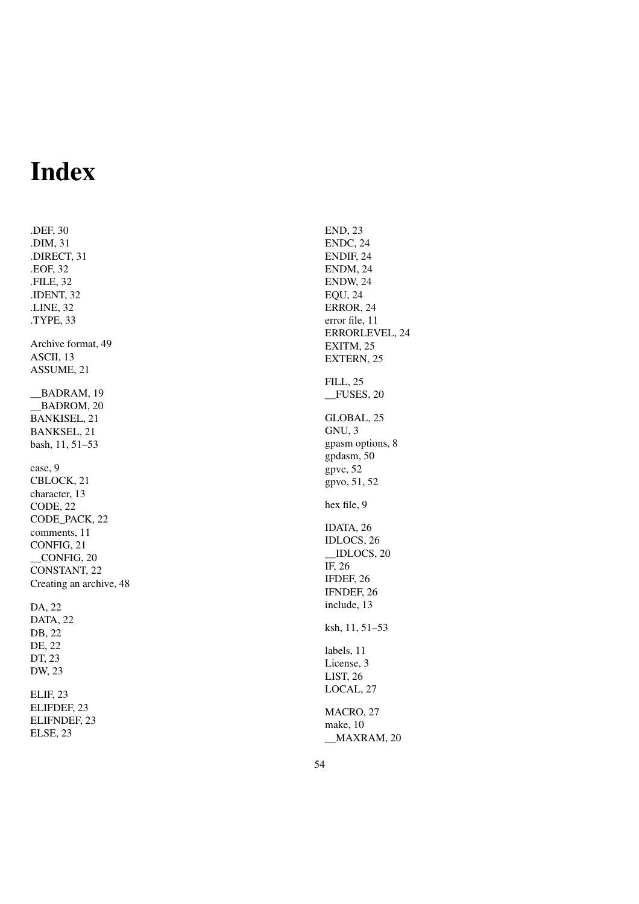# Index

.DEF, 30 .DIM, 31 .DIRECT, 31 .EOF, 32 .FILE, 32 .IDENT, 32 .LINE, 32 .TYPE, 33 Archive format, 49 ASCII, 13 ASSUME, 21 \_\_BADRAM, 19 BADROM, 20 BANKISEL, 21 BANKSEL, 21 bash, 11, 51–53 case, 9 CBLOCK, 21 character, 13 CODE, 22 CODE\_PACK, 22 comments, 11 CONFIG, 21 \_\_CONFIG, 20 CONSTANT, 22 Creating an archive, 48 DA, 22 DATA, 22 DB, 22 DE, 22 DT, 23 DW, 23 ELIF, 23

ELIFDEF, 23 ELIFNDEF, 23 ELSE, 23

END, 23 ENDC, 24 ENDIF, 24 ENDM, 24 ENDW, 24 EQU, 24 ERROR, 24 error file, 11 ERRORLEVEL, 24 EXITM, 25 EXTERN, 25 FILL, 25 \_\_FUSES, 20 GLOBAL, 25 GNU, 3 gpasm options, 8 gpdasm, 50 gpvc, 52 gpvo, 51, 52 hex file, 9 IDATA, 26 IDLOCS, 26 \_\_IDLOCS, 20 IF, 26 IFDEF, 26 IFNDEF, 26 include, 13 ksh, 11, 51–53 labels, 11 License, 3 LIST, 26 LOCAL, 27 MACRO, 27 make, 10 \_\_MAXRAM, 20